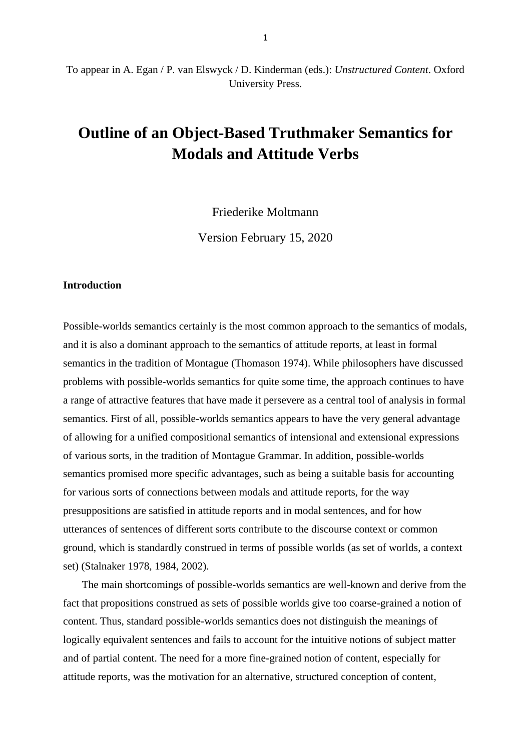# **Outline of an Object-Based Truthmaker Semantics for Modals and Attitude Verbs**

Friederike Moltmann

Version February 15, 2020

### **Introduction**

Possible-worlds semantics certainly is the most common approach to the semantics of modals, and it is also a dominant approach to the semantics of attitude reports, at least in formal semantics in the tradition of Montague (Thomason 1974). While philosophers have discussed problems with possible-worlds semantics for quite some time, the approach continues to have a range of attractive features that have made it persevere as a central tool of analysis in formal semantics. First of all, possible-worlds semantics appears to have the very general advantage of allowing for a unified compositional semantics of intensional and extensional expressions of various sorts, in the tradition of Montague Grammar. In addition, possible-worlds semantics promised more specific advantages, such as being a suitable basis for accounting for various sorts of connections between modals and attitude reports, for the way presuppositions are satisfied in attitude reports and in modal sentences, and for how utterances of sentences of different sorts contribute to the discourse context or common ground, which is standardly construed in terms of possible worlds (as set of worlds, a context set) (Stalnaker 1978, 1984, 2002).

 The main shortcomings of possible-worlds semantics are well-known and derive from the fact that propositions construed as sets of possible worlds give too coarse-grained a notion of content. Thus, standard possible-worlds semantics does not distinguish the meanings of logically equivalent sentences and fails to account for the intuitive notions of subject matter and of partial content. The need for a more fine-grained notion of content, especially for attitude reports, was the motivation for an alternative, structured conception of content,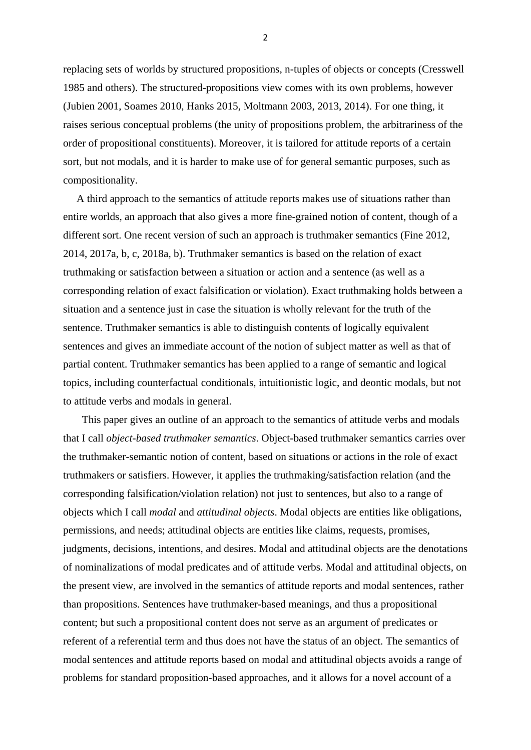replacing sets of worlds by structured propositions, n-tuples of objects or concepts (Cresswell 1985 and others). The structured-propositions view comes with its own problems, however (Jubien 2001, Soames 2010, Hanks 2015, Moltmann 2003, 2013, 2014). For one thing, it raises serious conceptual problems (the unity of propositions problem, the arbitrariness of the order of propositional constituents). Moreover, it is tailored for attitude reports of a certain sort, but not modals, and it is harder to make use of for general semantic purposes, such as compositionality.

 A third approach to the semantics of attitude reports makes use of situations rather than entire worlds, an approach that also gives a more fine-grained notion of content, though of a different sort. One recent version of such an approach is truthmaker semantics (Fine 2012, 2014, 2017a, b, c, 2018a, b). Truthmaker semantics is based on the relation of exact truthmaking or satisfaction between a situation or action and a sentence (as well as a corresponding relation of exact falsification or violation). Exact truthmaking holds between a situation and a sentence just in case the situation is wholly relevant for the truth of the sentence. Truthmaker semantics is able to distinguish contents of logically equivalent sentences and gives an immediate account of the notion of subject matter as well as that of partial content. Truthmaker semantics has been applied to a range of semantic and logical topics, including counterfactual conditionals, intuitionistic logic, and deontic modals, but not to attitude verbs and modals in general.

 This paper gives an outline of an approach to the semantics of attitude verbs and modals that I call *object-based truthmaker semantics*. Object-based truthmaker semantics carries over the truthmaker-semantic notion of content, based on situations or actions in the role of exact truthmakers or satisfiers. However, it applies the truthmaking/satisfaction relation (and the corresponding falsification/violation relation) not just to sentences, but also to a range of objects which I call *modal* and *attitudinal objects*. Modal objects are entities like obligations, permissions, and needs; attitudinal objects are entities like claims, requests, promises, judgments, decisions, intentions, and desires. Modal and attitudinal objects are the denotations of nominalizations of modal predicates and of attitude verbs. Modal and attitudinal objects, on the present view, are involved in the semantics of attitude reports and modal sentences, rather than propositions. Sentences have truthmaker-based meanings, and thus a propositional content; but such a propositional content does not serve as an argument of predicates or referent of a referential term and thus does not have the status of an object. The semantics of modal sentences and attitude reports based on modal and attitudinal objects avoids a range of problems for standard proposition-based approaches, and it allows for a novel account of a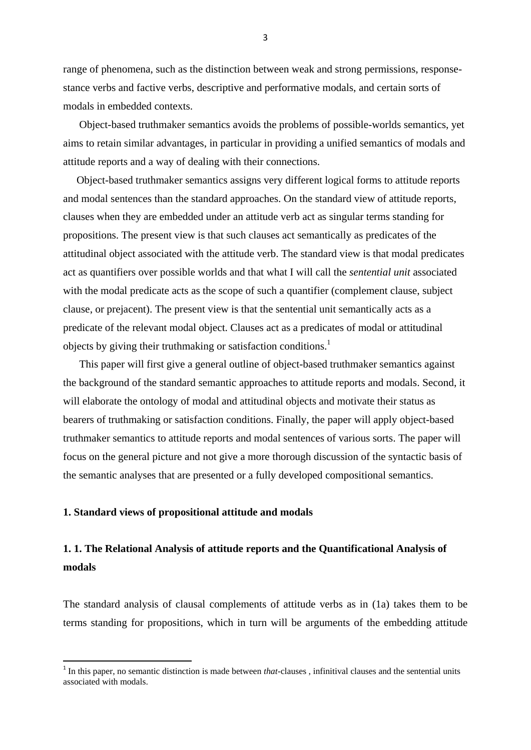range of phenomena, such as the distinction between weak and strong permissions, responsestance verbs and factive verbs, descriptive and performative modals, and certain sorts of modals in embedded contexts.

 Object-based truthmaker semantics avoids the problems of possible-worlds semantics, yet aims to retain similar advantages, in particular in providing a unified semantics of modals and attitude reports and a way of dealing with their connections.

 Object-based truthmaker semantics assigns very different logical forms to attitude reports and modal sentences than the standard approaches. On the standard view of attitude reports, clauses when they are embedded under an attitude verb act as singular terms standing for propositions. The present view is that such clauses act semantically as predicates of the attitudinal object associated with the attitude verb. The standard view is that modal predicates act as quantifiers over possible worlds and that what I will call the *sentential unit* associated with the modal predicate acts as the scope of such a quantifier (complement clause, subject clause, or prejacent). The present view is that the sentential unit semantically acts as a predicate of the relevant modal object. Clauses act as a predicates of modal or attitudinal objects by giving their truthmaking or satisfaction conditions. 1

 This paper will first give a general outline of object-based truthmaker semantics against the background of the standard semantic approaches to attitude reports and modals. Second, it will elaborate the ontology of modal and attitudinal objects and motivate their status as bearers of truthmaking or satisfaction conditions. Finally, the paper will apply object-based truthmaker semantics to attitude reports and modal sentences of various sorts. The paper will focus on the general picture and not give a more thorough discussion of the syntactic basis of the semantic analyses that are presented or a fully developed compositional semantics.

#### **1. Standard views of propositional attitude and modals**

1

# **1. 1. The Relational Analysis of attitude reports and the Quantificational Analysis of modals**

The standard analysis of clausal complements of attitude verbs as in (1a) takes them to be terms standing for propositions, which in turn will be arguments of the embedding attitude

<sup>&</sup>lt;sup>1</sup> In this paper, no semantic distinction is made between *that*-clauses, infinitival clauses and the sentential units associated with modals.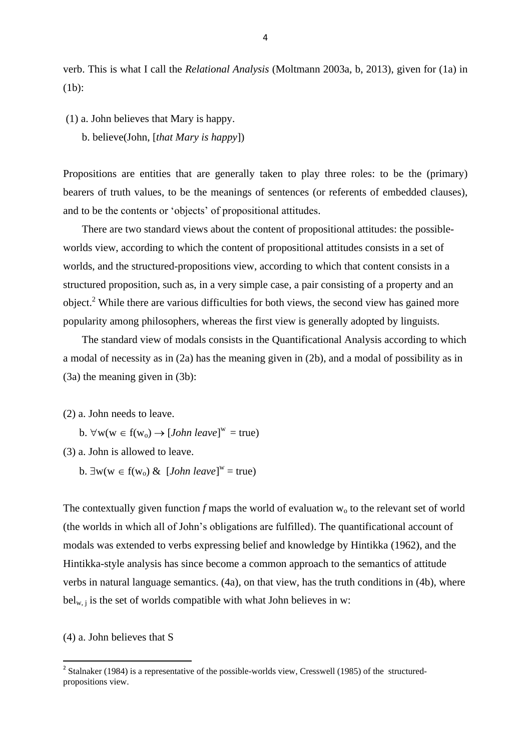verb. This is what I call the *Relational Analysis* (Moltmann 2003a, b, 2013), given for (1a) in (1b):

(1) a. John believes that Mary is happy.

b. believe(John, [*that Mary is happy*])

Propositions are entities that are generally taken to play three roles: to be the (primary) bearers of truth values, to be the meanings of sentences (or referents of embedded clauses), and to be the contents or 'objects' of propositional attitudes.

 There are two standard views about the content of propositional attitudes: the possibleworlds view, according to which the content of propositional attitudes consists in a set of worlds, and the structured-propositions view, according to which that content consists in a structured proposition, such as, in a very simple case, a pair consisting of a property and an object.<sup>2</sup> While there are various difficulties for both views, the second view has gained more popularity among philosophers, whereas the first view is generally adopted by linguists.

 The standard view of modals consists in the Quantificational Analysis according to which a modal of necessity as in (2a) has the meaning given in (2b), and a modal of possibility as in (3a) the meaning given in (3b):

(2) a. John needs to leave.

b.  $\forall w(w \in f(w_0) \rightarrow [John \text{ leave}]^w = true)$ 

(3) a. John is allowed to leave.

b.  $\exists w(w \in f(w_0) \& [John \text{ leave}]^w = true)$ 

The contextually given function  $f$  maps the world of evaluation  $w_0$  to the relevant set of world (the worlds in which all of John's obligations are fulfilled). The quantificational account of modals was extended to verbs expressing belief and knowledge by Hintikka (1962), and the Hintikka-style analysis has since become a common approach to the semantics of attitude verbs in natural language semantics. (4a), on that view, has the truth conditions in (4b), where  $bel_{w,i}$  is the set of worlds compatible with what John believes in w:

(4) a. John believes that S

<sup>&</sup>lt;sup>2</sup> Stalnaker (1984) is a representative of the possible-worlds view, Cresswell (1985) of the structuredpropositions view.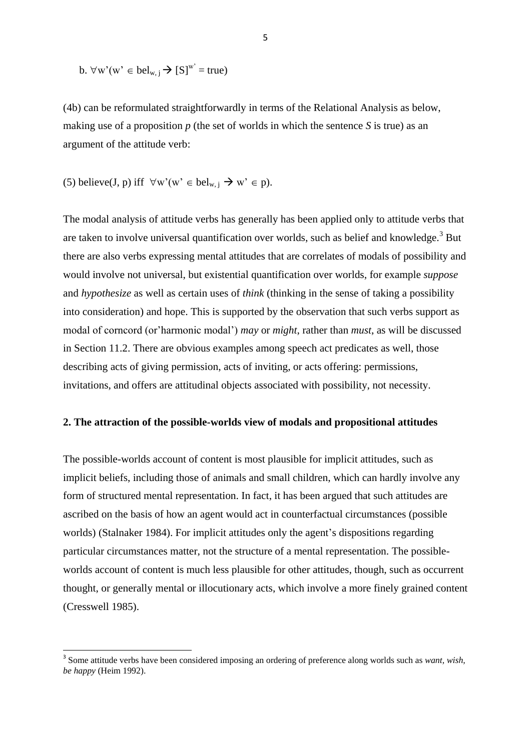b. 
$$
\forall w'(w' \in bel_{w,j} \rightarrow [S]^w = true)
$$

(4b) can be reformulated straightforwardly in terms of the Relational Analysis as below, making use of a proposition *p* (the set of worlds in which the sentence *S* is true) as an argument of the attitude verb:

(5) believe(**J**, **p**) iff 
$$
\forall w'(w' \in bel_{w,j} \rightarrow w' \in p)
$$
.

**.** 

The modal analysis of attitude verbs has generally has been applied only to attitude verbs that are taken to involve universal quantification over worlds, such as belief and knowledge.<sup>3</sup> But there are also verbs expressing mental attitudes that are correlates of modals of possibility and would involve not universal, but existential quantification over worlds, for example *suppose* and *hypothesize* as well as certain uses of *think* (thinking in the sense of taking a possibility into consideration) and hope. This is supported by the observation that such verbs support as modal of corncord (or'harmonic modal') *may* or *might*, rather than *must*, as will be discussed in Section 11.2. There are obvious examples among speech act predicates as well, those describing acts of giving permission, acts of inviting, or acts offering: permissions, invitations, and offers are attitudinal objects associated with possibility, not necessity.

#### **2. The attraction of the possible-worlds view of modals and propositional attitudes**

The possible-worlds account of content is most plausible for implicit attitudes, such as implicit beliefs, including those of animals and small children, which can hardly involve any form of structured mental representation. In fact, it has been argued that such attitudes are ascribed on the basis of how an agent would act in counterfactual circumstances (possible worlds) (Stalnaker 1984). For implicit attitudes only the agent's dispositions regarding particular circumstances matter, not the structure of a mental representation. The possibleworlds account of content is much less plausible for other attitudes, though, such as occurrent thought, or generally mental or illocutionary acts, which involve a more finely grained content (Cresswell 1985).

<sup>&</sup>lt;sup>3</sup> Some attitude verbs have been considered imposing an ordering of preference along worlds such as *want*, wish, *be happy* (Heim 1992).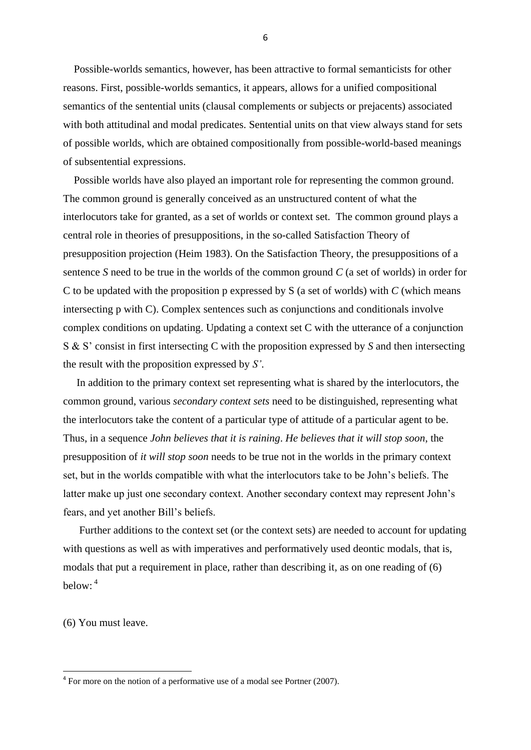Possible-worlds semantics, however, has been attractive to formal semanticists for other reasons. First, possible-worlds semantics, it appears, allows for a unified compositional semantics of the sentential units (clausal complements or subjects or prejacents) associated with both attitudinal and modal predicates. Sentential units on that view always stand for sets of possible worlds, which are obtained compositionally from possible-world-based meanings of subsentential expressions.

 Possible worlds have also played an important role for representing the common ground. The common ground is generally conceived as an unstructured content of what the interlocutors take for granted, as a set of worlds or context set. The common ground plays a central role in theories of presuppositions, in the so-called Satisfaction Theory of presupposition projection (Heim 1983). On the Satisfaction Theory, the presuppositions of a sentence *S* need to be true in the worlds of the common ground *C* (a set of worlds) in order for C to be updated with the proposition p expressed by S (a set of worlds) with *C* (which means intersecting p with C). Complex sentences such as conjunctions and conditionals involve complex conditions on updating. Updating a context set C with the utterance of a conjunction S & S' consist in first intersecting C with the proposition expressed by *S* and then intersecting the result with the proposition expressed by *S'*.

 In addition to the primary context set representing what is shared by the interlocutors, the common ground, various *secondary context sets* need to be distinguished, representing what the interlocutors take the content of a particular type of attitude of a particular agent to be. Thus, in a sequence *John believes that it is raining*. *He believes that it will stop soon*, the presupposition of *it will stop soon* needs to be true not in the worlds in the primary context set, but in the worlds compatible with what the interlocutors take to be John's beliefs. The latter make up just one secondary context. Another secondary context may represent John's fears, and yet another Bill's beliefs.

 Further additions to the context set (or the context sets) are needed to account for updating with questions as well as with imperatives and performatively used deontic modals, that is, modals that put a requirement in place, rather than describing it, as on one reading of (6) below: 4

(6) You must leave.

**.** 

 $4$  For more on the notion of a performative use of a modal see Portner (2007).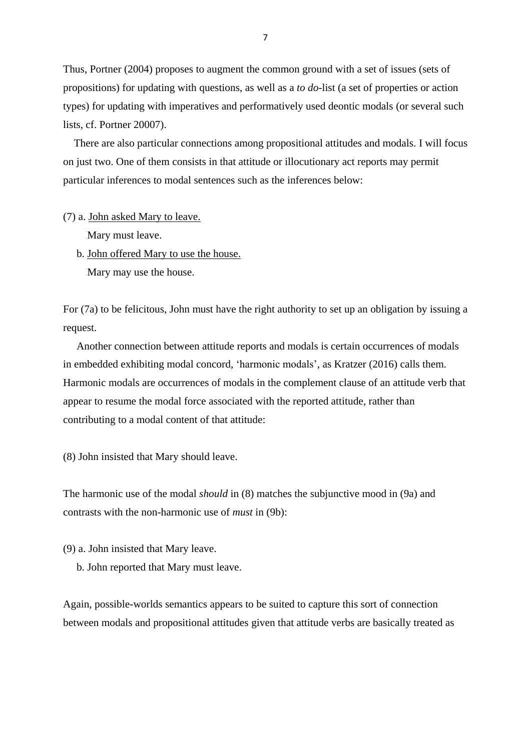Thus, Portner (2004) proposes to augment the common ground with a set of issues (sets of propositions) for updating with questions, as well as a *to do*-list (a set of properties or action types) for updating with imperatives and performatively used deontic modals (or several such lists, cf. Portner 20007).

 There are also particular connections among propositional attitudes and modals. I will focus on just two. One of them consists in that attitude or illocutionary act reports may permit particular inferences to modal sentences such as the inferences below:

(7) a. John asked Mary to leave.

Mary must leave.

 b. John offered Mary to use the house. Mary may use the house.

For (7a) to be felicitous, John must have the right authority to set up an obligation by issuing a request.

 Another connection between attitude reports and modals is certain occurrences of modals in embedded exhibiting modal concord, 'harmonic modals', as Kratzer (2016) calls them. Harmonic modals are occurrences of modals in the complement clause of an attitude verb that appear to resume the modal force associated with the reported attitude, rather than contributing to a modal content of that attitude:

(8) John insisted that Mary should leave.

The harmonic use of the modal *should* in (8) matches the subjunctive mood in (9a) and contrasts with the non-harmonic use of *must* in (9b):

(9) a. John insisted that Mary leave.

b. John reported that Mary must leave.

Again, possible-worlds semantics appears to be suited to capture this sort of connection between modals and propositional attitudes given that attitude verbs are basically treated as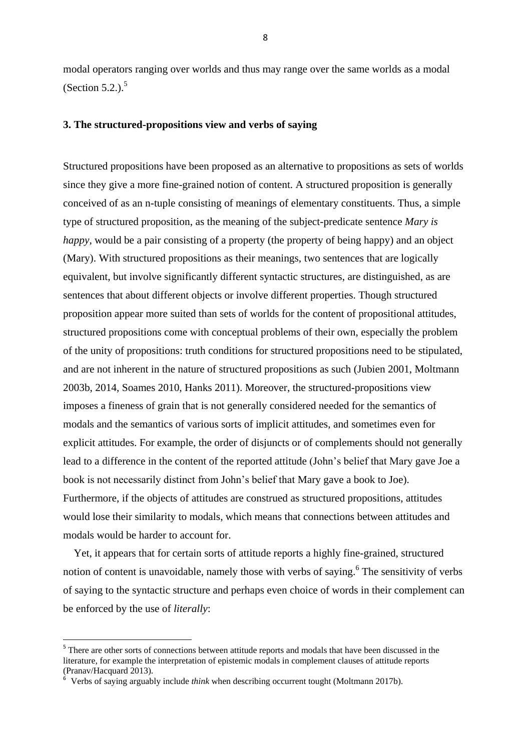modal operators ranging over worlds and thus may range over the same worlds as a modal (Section 5.2.). $<sup>5</sup>$ </sup>

#### **3. The structured-propositions view and verbs of saying**

Structured propositions have been proposed as an alternative to propositions as sets of worlds since they give a more fine-grained notion of content. A structured proposition is generally conceived of as an n-tuple consisting of meanings of elementary constituents. Thus, a simple type of structured proposition, as the meaning of the subject-predicate sentence *Mary is happy*, would be a pair consisting of a property (the property of being happy) and an object (Mary). With structured propositions as their meanings, two sentences that are logically equivalent, but involve significantly different syntactic structures, are distinguished, as are sentences that about different objects or involve different properties. Though structured proposition appear more suited than sets of worlds for the content of propositional attitudes, structured propositions come with conceptual problems of their own, especially the problem of the unity of propositions: truth conditions for structured propositions need to be stipulated, and are not inherent in the nature of structured propositions as such (Jubien 2001, Moltmann 2003b, 2014, Soames 2010, Hanks 2011). Moreover, the structured-propositions view imposes a fineness of grain that is not generally considered needed for the semantics of modals and the semantics of various sorts of implicit attitudes, and sometimes even for explicit attitudes. For example, the order of disjuncts or of complements should not generally lead to a difference in the content of the reported attitude (John's belief that Mary gave Joe a book is not necessarily distinct from John's belief that Mary gave a book to Joe). Furthermore, if the objects of attitudes are construed as structured propositions, attitudes would lose their similarity to modals, which means that connections between attitudes and modals would be harder to account for.

 Yet, it appears that for certain sorts of attitude reports a highly fine-grained, structured notion of content is unavoidable, namely those with verbs of saying.<sup>6</sup> The sensitivity of verbs of saying to the syntactic structure and perhaps even choice of words in their complement can be enforced by the use of *literally*:

<sup>&</sup>lt;sup>5</sup> There are other sorts of connections between attitude reports and modals that have been discussed in the literature, for example the interpretation of epistemic modals in complement clauses of attitude reports (Pranav/Hacquard 2013).

<sup>6</sup> Verbs of saying arguably include *think* when describing occurrent tought (Moltmann 2017b).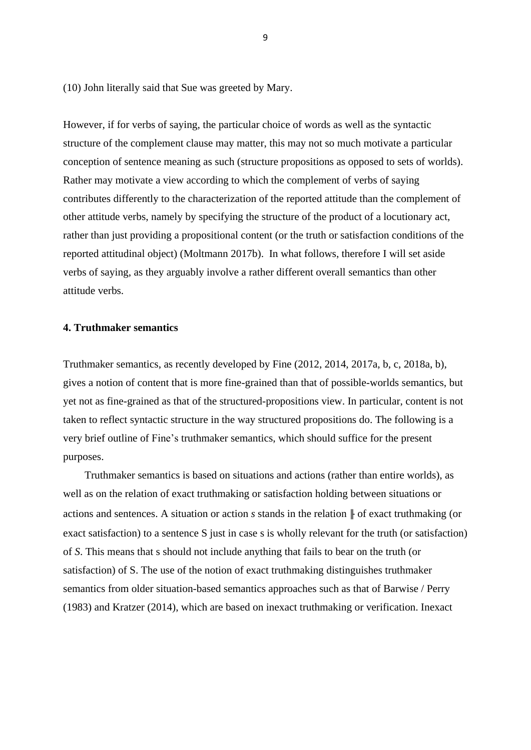(10) John literally said that Sue was greeted by Mary.

However, if for verbs of saying, the particular choice of words as well as the syntactic structure of the complement clause may matter, this may not so much motivate a particular conception of sentence meaning as such (structure propositions as opposed to sets of worlds). Rather may motivate a view according to which the complement of verbs of saying contributes differently to the characterization of the reported attitude than the complement of other attitude verbs, namely by specifying the structure of the product of a locutionary act, rather than just providing a propositional content (or the truth or satisfaction conditions of the reported attitudinal object) (Moltmann 2017b). In what follows, therefore I will set aside verbs of saying, as they arguably involve a rather different overall semantics than other attitude verbs.

#### **4. Truthmaker semantics**

Truthmaker semantics, as recently developed by Fine (2012, 2014, 2017a, b, c, 2018a, b), gives a notion of content that is more fine-grained than that of possible-worlds semantics, but yet not as fine-grained as that of the structured-propositions view. In particular, content is not taken to reflect syntactic structure in the way structured propositions do. The following is a very brief outline of Fine's truthmaker semantics, which should suffice for the present purposes.

 Truthmaker semantics is based on situations and actions (rather than entire worlds), as well as on the relation of exact truthmaking or satisfaction holding between situations or actions and sentences. A situation or action *s* stands in the relation ╟ of exact truthmaking (or exact satisfaction) to a sentence S just in case s is wholly relevant for the truth (or satisfaction) of *S*. This means that s should not include anything that fails to bear on the truth (or satisfaction) of S. The use of the notion of exact truthmaking distinguishes truthmaker semantics from older situation-based semantics approaches such as that of Barwise / Perry (1983) and Kratzer (2014), which are based on inexact truthmaking or verification. Inexact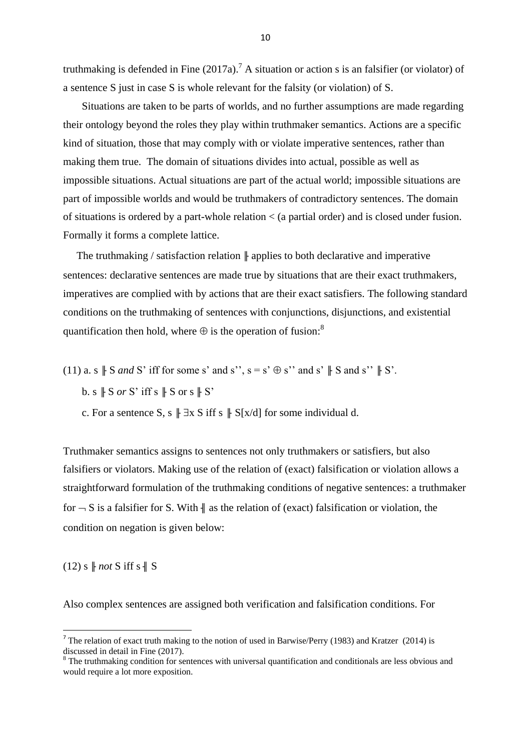truthmaking is defended in Fine  $(2017a)$ .<sup>7</sup> A situation or action s is an falsifier (or violator) of a sentence S just in case S is whole relevant for the falsity (or violation) of S.

 Situations are taken to be parts of worlds, and no further assumptions are made regarding their ontology beyond the roles they play within truthmaker semantics. Actions are a specific kind of situation, those that may comply with or violate imperative sentences, rather than making them true. The domain of situations divides into actual, possible as well as impossible situations. Actual situations are part of the actual world; impossible situations are part of impossible worlds and would be truthmakers of contradictory sentences. The domain of situations is ordered by a part-whole relation < (a partial order) and is closed under fusion. Formally it forms a complete lattice.

The truthmaking / satisfaction relation  $\|$  applies to both declarative and imperative sentences: declarative sentences are made true by situations that are their exact truthmakers, imperatives are complied with by actions that are their exact satisfiers. The following standard conditions on the truthmaking of sentences with conjunctions, disjunctions, and existential quantification then hold, where  $\oplus$  is the operation of fusion:

- (11) a. s  $\parallel$  S *and* S' iff for some s' and s'', s = s'  $\oplus$  s'' and s'  $\parallel$  S and s''  $\parallel$  S'.
	- b. s  $\parallel$  S *or* S' iff s  $\parallel$  S or s  $\parallel$  S'

c. For a sentence S, s  $\parallel \exists x \in S$  iff s  $\parallel S[x/d]$  for some individual d.

Truthmaker semantics assigns to sentences not only truthmakers or satisfiers, but also falsifiers or violators. Making use of the relation of (exact) falsification or violation allows a straightforward formulation of the truthmaking conditions of negative sentences: a truthmaker for  $-S$  is a falsifier for S. With  $\parallel$  as the relation of (exact) falsification or violation, the condition on negation is given below:

 $(12)$  s  $\parallel$  *not* S iff s  $\parallel$  S

1

Also complex sentences are assigned both verification and falsification conditions. For

<sup>&</sup>lt;sup>7</sup> The relation of exact truth making to the notion of used in Barwise/Perry (1983) and Kratzer (2014) is discussed in detail in Fine (2017).

<sup>&</sup>lt;sup>8</sup> The truthmaking condition for sentences with universal quantification and conditionals are less obvious and would require a lot more exposition.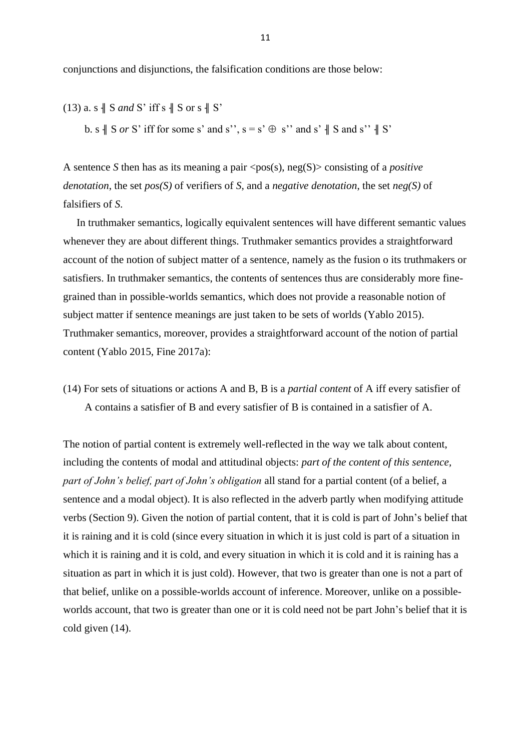conjunctions and disjunctions, the falsification conditions are those below:

(13) a. s 
$$
\parallel
$$
 S and S' iff s  $\parallel$  S or s  $\parallel$  S'  
b. s  $\parallel$  S or S' iff for some s' and s'', s = s'  $\oplus$  s'' and s'  $\parallel$  S and s''  $\parallel$  S'

A sentence *S* then has as its meaning a pair  $\langle pos(s), neg(S) \rangle$  consisting of a *positive denotation*, the set *pos(S)* of verifiers of *S*, and a *negative denotation*, the set *neg(S)* of falsifiers of *S*.

 In truthmaker semantics, logically equivalent sentences will have different semantic values whenever they are about different things. Truthmaker semantics provides a straightforward account of the notion of subject matter of a sentence, namely as the fusion o its truthmakers or satisfiers. In truthmaker semantics, the contents of sentences thus are considerably more finegrained than in possible-worlds semantics, which does not provide a reasonable notion of subject matter if sentence meanings are just taken to be sets of worlds (Yablo 2015). Truthmaker semantics, moreover, provides a straightforward account of the notion of partial content (Yablo 2015, Fine 2017a):

(14) For sets of situations or actions A and B, B is a *partial content* of A iff every satisfier of A contains a satisfier of B and every satisfier of B is contained in a satisfier of A.

The notion of partial content is extremely well-reflected in the way we talk about content, including the contents of modal and attitudinal objects: *part of the content of this sentence, part of John's belief, part of John's obligation* all stand for a partial content (of a belief, a sentence and a modal object). It is also reflected in the adverb partly when modifying attitude verbs (Section 9). Given the notion of partial content, that it is cold is part of John's belief that it is raining and it is cold (since every situation in which it is just cold is part of a situation in which it is raining and it is cold, and every situation in which it is cold and it is raining has a situation as part in which it is just cold). However, that two is greater than one is not a part of that belief, unlike on a possible-worlds account of inference. Moreover, unlike on a possibleworlds account, that two is greater than one or it is cold need not be part John's belief that it is cold given (14).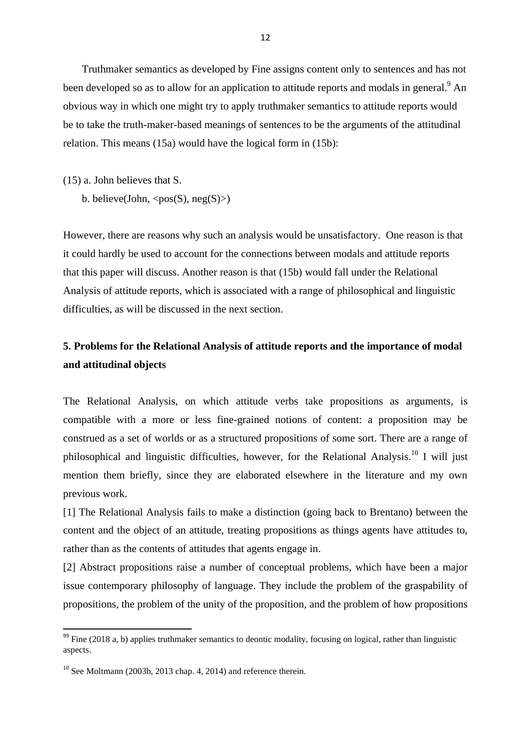Truthmaker semantics as developed by Fine assigns content only to sentences and has not been developed so as to allow for an application to attitude reports and modals in general.<sup>9</sup> An obvious way in which one might try to apply truthmaker semantics to attitude reports would be to take the truth-maker-based meanings of sentences to be the arguments of the attitudinal relation. This means (15a) would have the logical form in (15b):

(15) a. John believes that S.

b. believe(John,  $<$ pos(S), neg(S)>)

However, there are reasons why such an analysis would be unsatisfactory. One reason is that it could hardly be used to account for the connections between modals and attitude reports that this paper will discuss. Another reason is that (15b) would fall under the Relational Analysis of attitude reports, which is associated with a range of philosophical and linguistic difficulties, as will be discussed in the next section.

# **5. Problems for the Relational Analysis of attitude reports and the importance of modal and attitudinal objects**

The Relational Analysis, on which attitude verbs take propositions as arguments, is compatible with a more or less fine-grained notions of content: a proposition may be construed as a set of worlds or as a structured propositions of some sort. There are a range of philosophical and linguistic difficulties, however, for the Relational Analysis.<sup>10</sup> I will just mention them briefly, since they are elaborated elsewhere in the literature and my own previous work.

[1] The Relational Analysis fails to make a distinction (going back to Brentano) between the content and the object of an attitude, treating propositions as things agents have attitudes to, rather than as the contents of attitudes that agents engage in.

[2] Abstract propositions raise a number of conceptual problems, which have been a major issue contemporary philosophy of language. They include the problem of the graspability of propositions, the problem of the unity of the proposition, and the problem of how propositions

<sup>&</sup>lt;sup>99</sup> Fine (2018 a, b) applies truthmaker semantics to deontic modality, focusing on logical, rather than linguistic aspects.

 $10$  See Moltmann (2003b, 2013 chap. 4, 2014) and reference therein.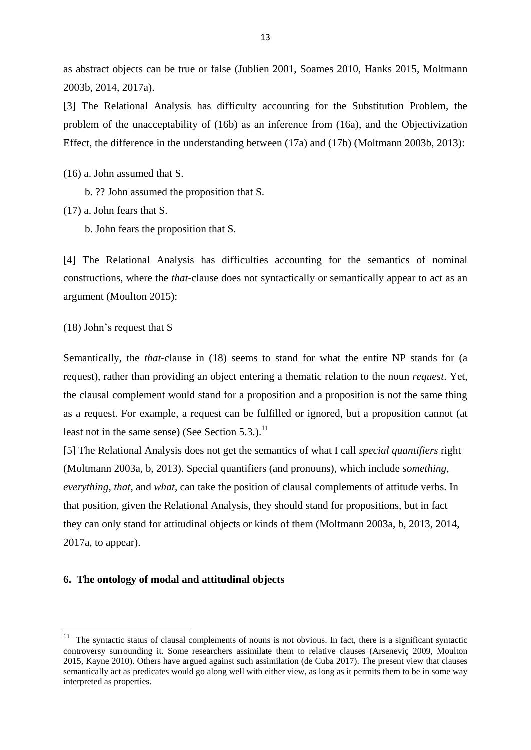as abstract objects can be true or false (Jublien 2001, Soames 2010, Hanks 2015, Moltmann 2003b, 2014, 2017a).

[3] The Relational Analysis has difficulty accounting for the Substitution Problem, the problem of the unacceptability of (16b) as an inference from (16a), and the Objectivization Effect, the difference in the understanding between (17a) and (17b) (Moltmann 2003b, 2013):

(16) a. John assumed that S.

b. ?? John assumed the proposition that S.

(17) a. John fears that S.

b. John fears the proposition that S.

[4] The Relational Analysis has difficulties accounting for the semantics of nominal constructions, where the *that*-clause does not syntactically or semantically appear to act as an argument (Moulton 2015):

(18) John's request that S

1

Semantically, the *that*-clause in (18) seems to stand for what the entire NP stands for (a request), rather than providing an object entering a thematic relation to the noun *request*. Yet, the clausal complement would stand for a proposition and a proposition is not the same thing as a request. For example, a request can be fulfilled or ignored, but a proposition cannot (at least not in the same sense) (See Section  $5.3$ .).<sup>11</sup>

[5] The Relational Analysis does not get the semantics of what I call *special quantifiers* right (Moltmann 2003a, b, 2013). Special quantifiers (and pronouns), which include *something, everything*, *that,* and *what,* can take the position of clausal complements of attitude verbs. In that position, given the Relational Analysis, they should stand for propositions, but in fact they can only stand for attitudinal objects or kinds of them (Moltmann 2003a, b, 2013, 2014, 2017a, to appear).

#### **6. The ontology of modal and attitudinal objects**

<sup>&</sup>lt;sup>11</sup> The syntactic status of clausal complements of nouns is not obvious. In fact, there is a significant syntactic controversy surrounding it. Some researchers assimilate them to relative clauses (Arseneviç 2009, Moulton 2015, Kayne 2010). Others have argued against such assimilation (de Cuba 2017). The present view that clauses semantically act as predicates would go along well with either view, as long as it permits them to be in some way interpreted as properties.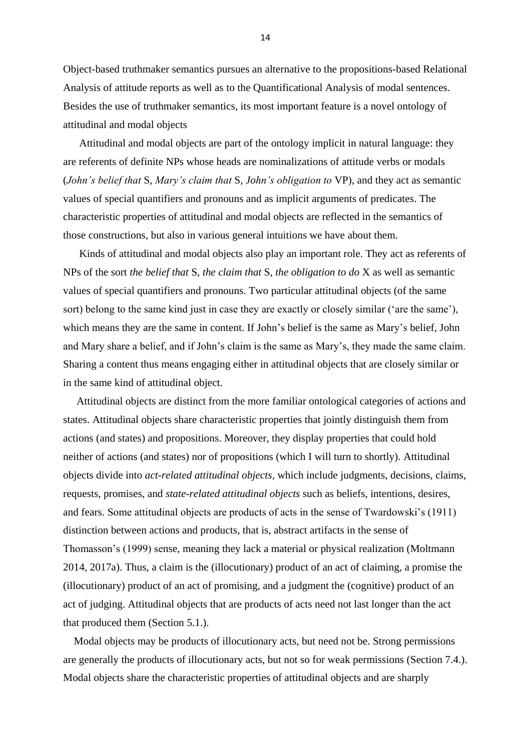Object-based truthmaker semantics pursues an alternative to the propositions-based Relational Analysis of attitude reports as well as to the Quantificational Analysis of modal sentences. Besides the use of truthmaker semantics, its most important feature is a novel ontology of attitudinal and modal objects

 Attitudinal and modal objects are part of the ontology implicit in natural language: they are referents of definite NPs whose heads are nominalizations of attitude verbs or modals (*John's belief that* S, *Mary's claim that* S, *John's obligation to* VP), and they act as semantic values of special quantifiers and pronouns and as implicit arguments of predicates. The characteristic properties of attitudinal and modal objects are reflected in the semantics of those constructions, but also in various general intuitions we have about them.

 Kinds of attitudinal and modal objects also play an important role. They act as referents of NPs of the sort *the belief that* S, *the claim that* S, *the obligation to do* X as well as semantic values of special quantifiers and pronouns. Two particular attitudinal objects (of the same sort) belong to the same kind just in case they are exactly or closely similar ('are the same'), which means they are the same in content. If John's belief is the same as Mary's belief, John and Mary share a belief, and if John's claim is the same as Mary's, they made the same claim. Sharing a content thus means engaging either in attitudinal objects that are closely similar or in the same kind of attitudinal object.

 Attitudinal objects are distinct from the more familiar ontological categories of actions and states. Attitudinal objects share characteristic properties that jointly distinguish them from actions (and states) and propositions. Moreover, they display properties that could hold neither of actions (and states) nor of propositions (which I will turn to shortly). Attitudinal objects divide into *act-related attitudinal objects,* which include judgments, decisions, claims, requests, promises, and *state-related attitudinal objects* such as beliefs, intentions, desires, and fears. Some attitudinal objects are products of acts in the sense of Twardowski's (1911) distinction between actions and products, that is, abstract artifacts in the sense of Thomasson's (1999) sense, meaning they lack a material or physical realization (Moltmann 2014, 2017a). Thus, a claim is the (illocutionary) product of an act of claiming, a promise the (illocutionary) product of an act of promising, and a judgment the (cognitive) product of an act of judging. Attitudinal objects that are products of acts need not last longer than the act that produced them (Section 5.1.).

 Modal objects may be products of illocutionary acts, but need not be. Strong permissions are generally the products of illocutionary acts, but not so for weak permissions (Section 7.4.). Modal objects share the characteristic properties of attitudinal objects and are sharply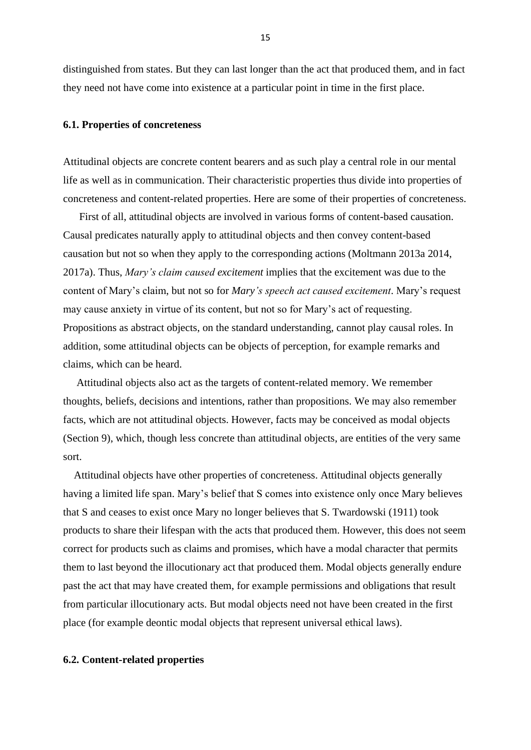distinguished from states. But they can last longer than the act that produced them, and in fact they need not have come into existence at a particular point in time in the first place.

#### **6.1. Properties of concreteness**

Attitudinal objects are concrete content bearers and as such play a central role in our mental life as well as in communication. Their characteristic properties thus divide into properties of concreteness and content-related properties. Here are some of their properties of concreteness.

 First of all, attitudinal objects are involved in various forms of content-based causation. Causal predicates naturally apply to attitudinal objects and then convey content-based causation but not so when they apply to the corresponding actions (Moltmann 2013a 2014, 2017a). Thus, *Mary's claim caused excitement* implies that the excitement was due to the content of Mary's claim, but not so for *Mary's speech act caused excitement*. Mary's request may cause anxiety in virtue of its content, but not so for Mary's act of requesting. Propositions as abstract objects, on the standard understanding, cannot play causal roles. In addition, some attitudinal objects can be objects of perception, for example remarks and claims, which can be heard.

 Attitudinal objects also act as the targets of content-related memory. We remember thoughts, beliefs, decisions and intentions, rather than propositions. We may also remember facts, which are not attitudinal objects. However, facts may be conceived as modal objects (Section 9), which, though less concrete than attitudinal objects, are entities of the very same sort.

 Attitudinal objects have other properties of concreteness. Attitudinal objects generally having a limited life span. Mary's belief that S comes into existence only once Mary believes that S and ceases to exist once Mary no longer believes that S. Twardowski (1911) took products to share their lifespan with the acts that produced them. However, this does not seem correct for products such as claims and promises, which have a modal character that permits them to last beyond the illocutionary act that produced them. Modal objects generally endure past the act that may have created them, for example permissions and obligations that result from particular illocutionary acts. But modal objects need not have been created in the first place (for example deontic modal objects that represent universal ethical laws).

#### **6.2. Content-related properties**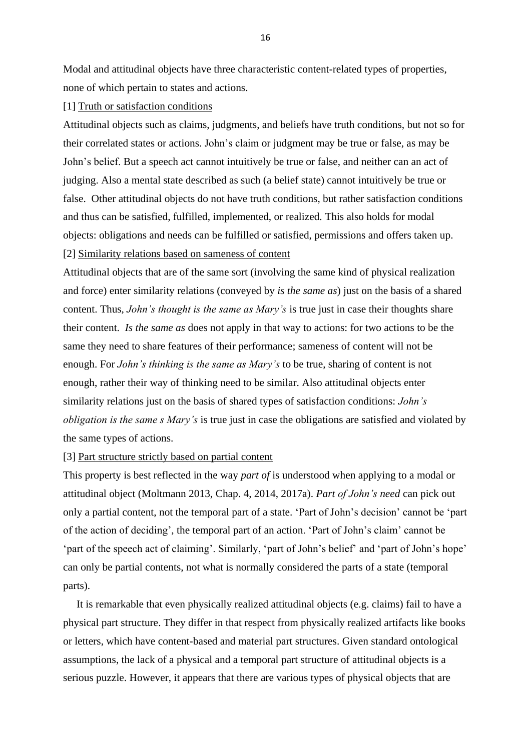Modal and attitudinal objects have three characteristic content-related types of properties, none of which pertain to states and actions.

#### [1] Truth or satisfaction conditions

Attitudinal objects such as claims, judgments, and beliefs have truth conditions, but not so for their correlated states or actions. John's claim or judgment may be true or false, as may be John's belief. But a speech act cannot intuitively be true or false, and neither can an act of judging. Also a mental state described as such (a belief state) cannot intuitively be true or false. Other attitudinal objects do not have truth conditions, but rather satisfaction conditions and thus can be satisfied, fulfilled, implemented, or realized. This also holds for modal objects: obligations and needs can be fulfilled or satisfied, permissions and offers taken up. [2] Similarity relations based on sameness of content

Attitudinal objects that are of the same sort (involving the same kind of physical realization and force) enter similarity relations (conveyed by *is the same as*) just on the basis of a shared content. Thus, *John's thought is the same as Mary's* is true just in case their thoughts share their content. *Is the same as* does not apply in that way to actions: for two actions to be the same they need to share features of their performance; sameness of content will not be enough. For *John's thinking is the same as Mary's* to be true, sharing of content is not enough, rather their way of thinking need to be similar. Also attitudinal objects enter similarity relations just on the basis of shared types of satisfaction conditions: *John's obligation is the same s Mary's* is true just in case the obligations are satisfied and violated by the same types of actions.

#### [3] Part structure strictly based on partial content

This property is best reflected in the way *part of* is understood when applying to a modal or attitudinal object (Moltmann 2013, Chap. 4, 2014, 2017a). *Part of John's need* can pick out only a partial content, not the temporal part of a state. 'Part of John's decision' cannot be 'part of the action of deciding', the temporal part of an action. 'Part of John's claim' cannot be 'part of the speech act of claiming'. Similarly, 'part of John's belief' and 'part of John's hope' can only be partial contents, not what is normally considered the parts of a state (temporal parts).

 It is remarkable that even physically realized attitudinal objects (e.g. claims) fail to have a physical part structure. They differ in that respect from physically realized artifacts like books or letters, which have content-based and material part structures. Given standard ontological assumptions, the lack of a physical and a temporal part structure of attitudinal objects is a serious puzzle. However, it appears that there are various types of physical objects that are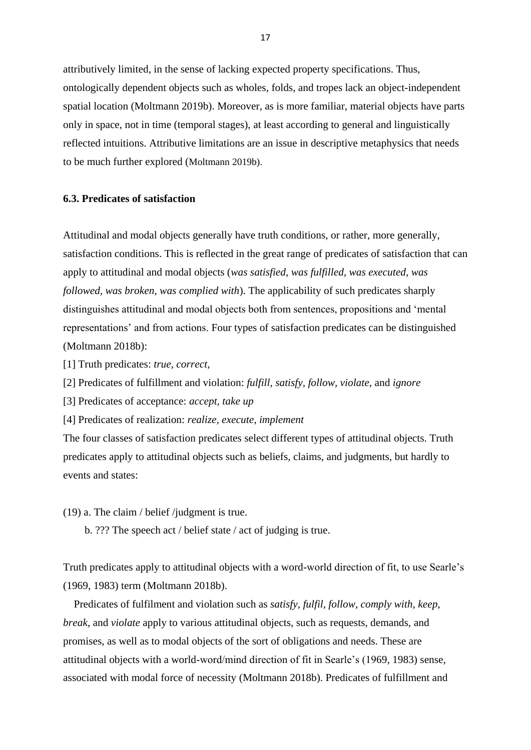attributively limited, in the sense of lacking expected property specifications. Thus, ontologically dependent objects such as wholes, folds, and tropes lack an object-independent spatial location (Moltmann 2019b). Moreover, as is more familiar, material objects have parts only in space, not in time (temporal stages), at least according to general and linguistically reflected intuitions. Attributive limitations are an issue in descriptive metaphysics that needs to be much further explored (Moltmann 2019b).

#### **6.3. Predicates of satisfaction**

Attitudinal and modal objects generally have truth conditions, or rather, more generally, satisfaction conditions. This is reflected in the great range of predicates of satisfaction that can apply to attitudinal and modal objects (*was satisfied, was fulfilled, was executed, was followed, was broken, was complied with*). The applicability of such predicates sharply distinguishes attitudinal and modal objects both from sentences, propositions and 'mental representations' and from actions. Four types of satisfaction predicates can be distinguished (Moltmann 2018b):

[1] Truth predicates: *true, correct*,

[2] Predicates of fulfillment and violation: *fulfill, satisfy, follow, violate*, and *ignore*

[3] Predicates of acceptance: *accept, take up*

[4] Predicates of realization: *realize, execute, implement*

The four classes of satisfaction predicates select different types of attitudinal objects. Truth predicates apply to attitudinal objects such as beliefs, claims, and judgments, but hardly to events and states:

(19) a. The claim / belief /judgment is true.

b. ??? The speech act / belief state / act of judging is true.

Truth predicates apply to attitudinal objects with a word-world direction of fit, to use Searle's (1969, 1983) term (Moltmann 2018b).

 Predicates of fulfilment and violation such as *satisfy, fulfil, follow, comply with*, *keep, break*, and *violate* apply to various attitudinal objects, such as requests, demands, and promises, as well as to modal objects of the sort of obligations and needs. These are attitudinal objects with a world-word/mind direction of fit in Searle's (1969, 1983) sense, associated with modal force of necessity (Moltmann 2018b). Predicates of fulfillment and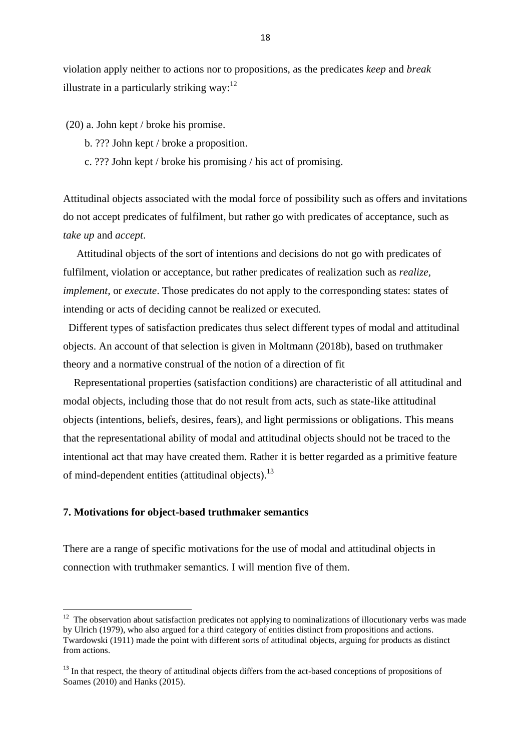violation apply neither to actions nor to propositions, as the predicates *keep* and *break* illustrate in a particularly striking way: $^{12}$ 

(20) a. John kept / broke his promise.

- b. ??? John kept / broke a proposition.
- c. ??? John kept / broke his promising / his act of promising.

Attitudinal objects associated with the modal force of possibility such as offers and invitations do not accept predicates of fulfilment, but rather go with predicates of acceptance, such as *take up* and *accept*.

 Attitudinal objects of the sort of intentions and decisions do not go with predicates of fulfilment, violation or acceptance, but rather predicates of realization such as *realize, implement,* or *execute*. Those predicates do not apply to the corresponding states: states of intending or acts of deciding cannot be realized or executed.

 Different types of satisfaction predicates thus select different types of modal and attitudinal objects. An account of that selection is given in Moltmann (2018b), based on truthmaker theory and a normative construal of the notion of a direction of fit

 Representational properties (satisfaction conditions) are characteristic of all attitudinal and modal objects, including those that do not result from acts, such as state-like attitudinal objects (intentions, beliefs, desires, fears), and light permissions or obligations. This means that the representational ability of modal and attitudinal objects should not be traced to the intentional act that may have created them. Rather it is better regarded as a primitive feature of mind-dependent entities (attitudinal objects).<sup>13</sup>

#### **7. Motivations for object-based truthmaker semantics**

There are a range of specific motivations for the use of modal and attitudinal objects in connection with truthmaker semantics. I will mention five of them.

<sup>&</sup>lt;sup>12</sup> The observation about satisfaction predicates not applying to nominalizations of illocutionary verbs was made by Ulrich (1979), who also argued for a third category of entities distinct from propositions and actions. Twardowski (1911) made the point with different sorts of attitudinal objects, arguing for products as distinct from actions.

<sup>&</sup>lt;sup>13</sup> In that respect, the theory of attitudinal objects differs from the act-based conceptions of propositions of Soames (2010) and Hanks (2015).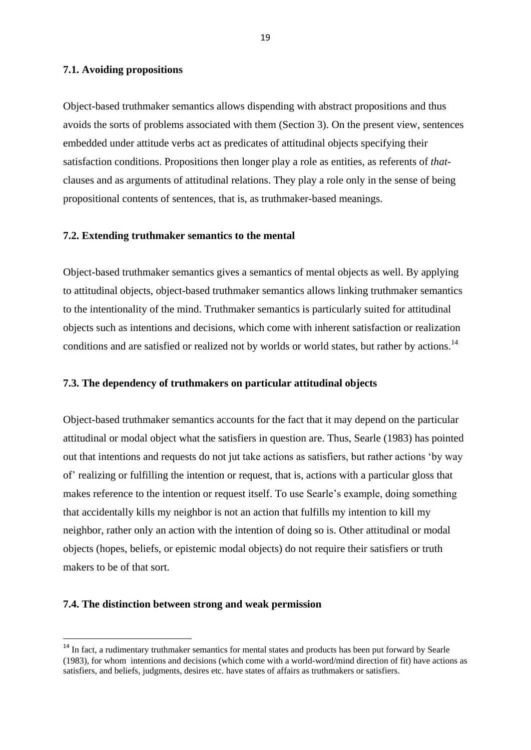#### **7.1. Avoiding propositions**

Object-based truthmaker semantics allows dispending with abstract propositions and thus avoids the sorts of problems associated with them (Section 3). On the present view, sentences embedded under attitude verbs act as predicates of attitudinal objects specifying their satisfaction conditions. Propositions then longer play a role as entities, as referents of *that*clauses and as arguments of attitudinal relations. They play a role only in the sense of being propositional contents of sentences, that is, as truthmaker-based meanings.

#### **7.2. Extending truthmaker semantics to the mental**

Object-based truthmaker semantics gives a semantics of mental objects as well. By applying to attitudinal objects, object-based truthmaker semantics allows linking truthmaker semantics to the intentionality of the mind. Truthmaker semantics is particularly suited for attitudinal objects such as intentions and decisions, which come with inherent satisfaction or realization conditions and are satisfied or realized not by worlds or world states, but rather by actions.<sup>14</sup>

#### **7.3. The dependency of truthmakers on particular attitudinal objects**

Object-based truthmaker semantics accounts for the fact that it may depend on the particular attitudinal or modal object what the satisfiers in question are. Thus, Searle (1983) has pointed out that intentions and requests do not jut take actions as satisfiers, but rather actions 'by way of' realizing or fulfilling the intention or request, that is, actions with a particular gloss that makes reference to the intention or request itself. To use Searle's example, doing something that accidentally kills my neighbor is not an action that fulfills my intention to kill my neighbor, rather only an action with the intention of doing so is. Other attitudinal or modal objects (hopes, beliefs, or epistemic modal objects) do not require their satisfiers or truth makers to be of that sort.

#### **7.4. The distinction between strong and weak permission**

**.** 

<sup>&</sup>lt;sup>14</sup> In fact, a rudimentary truthmaker semantics for mental states and products has been put forward by Searle (1983), for whom intentions and decisions (which come with a world-word/mind direction of fit) have actions as satisfiers, and beliefs, judgments, desires etc. have states of affairs as truthmakers or satisfiers.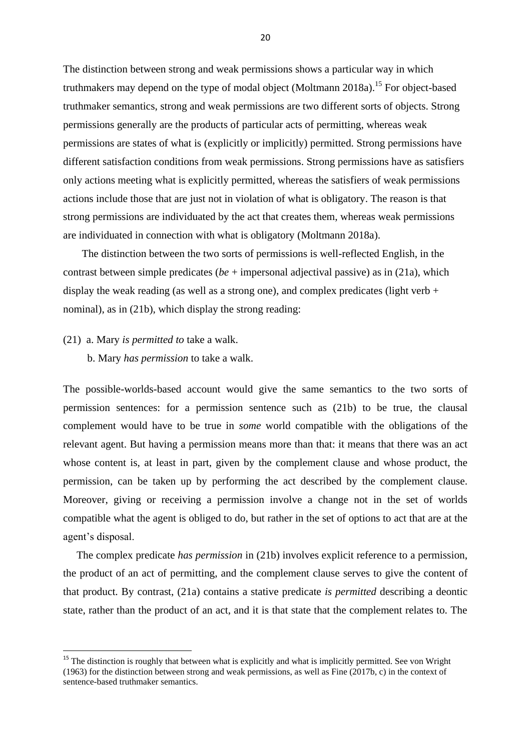The distinction between strong and weak permissions shows a particular way in which truthmakers may depend on the type of modal object (Moltmann 2018a).<sup>15</sup> For object-based truthmaker semantics, strong and weak permissions are two different sorts of objects. Strong permissions generally are the products of particular acts of permitting, whereas weak permissions are states of what is (explicitly or implicitly) permitted. Strong permissions have different satisfaction conditions from weak permissions. Strong permissions have as satisfiers only actions meeting what is explicitly permitted, whereas the satisfiers of weak permissions actions include those that are just not in violation of what is obligatory. The reason is that strong permissions are individuated by the act that creates them, whereas weak permissions are individuated in connection with what is obligatory (Moltmann 2018a).

 The distinction between the two sorts of permissions is well-reflected English, in the contrast between simple predicates (*be* + impersonal adjectival passive) as in (21a), which display the weak reading (as well as a strong one), and complex predicates (light verb  $+$ nominal), as in (21b), which display the strong reading:

#### (21) a. Mary *is permitted to* take a walk.

**.** 

b. Mary *has permission* to take a walk.

The possible-worlds-based account would give the same semantics to the two sorts of permission sentences: for a permission sentence such as (21b) to be true, the clausal complement would have to be true in *some* world compatible with the obligations of the relevant agent. But having a permission means more than that: it means that there was an act whose content is, at least in part, given by the complement clause and whose product, the permission, can be taken up by performing the act described by the complement clause. Moreover, giving or receiving a permission involve a change not in the set of worlds compatible what the agent is obliged to do, but rather in the set of options to act that are at the agent's disposal.

 The complex predicate *has permission* in (21b) involves explicit reference to a permission, the product of an act of permitting, and the complement clause serves to give the content of that product. By contrast, (21a) contains a stative predicate *is permitted* describing a deontic state, rather than the product of an act, and it is that state that the complement relates to. The

<sup>&</sup>lt;sup>15</sup> The distinction is roughly that between what is explicitly and what is implicitly permitted. See von Wright (1963) for the distinction between strong and weak permissions, as well as Fine (2017b, c) in the context of sentence-based truthmaker semantics.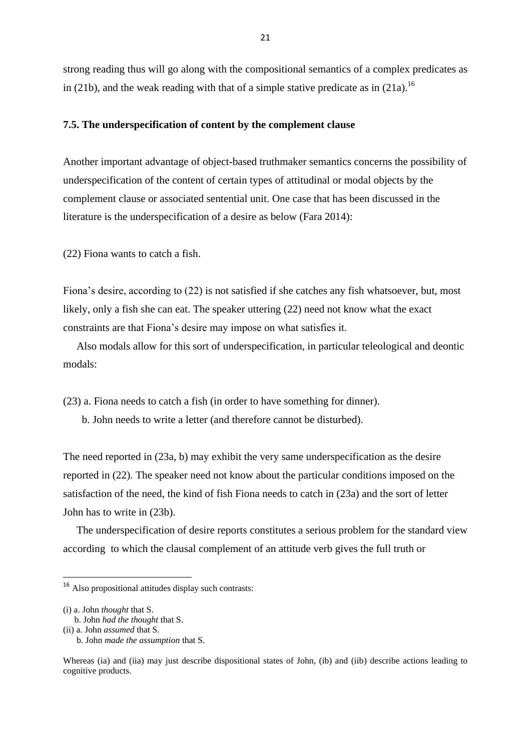strong reading thus will go along with the compositional semantics of a complex predicates as in (21b), and the weak reading with that of a simple stative predicate as in (21a).<sup>16</sup>

#### **7.5. The underspecification of content by the complement clause**

Another important advantage of object-based truthmaker semantics concerns the possibility of underspecification of the content of certain types of attitudinal or modal objects by the complement clause or associated sentential unit. One case that has been discussed in the literature is the underspecification of a desire as below (Fara 2014):

(22) Fiona wants to catch a fish.

Fiona's desire, according to (22) is not satisfied if she catches any fish whatsoever, but, most likely, only a fish she can eat. The speaker uttering (22) need not know what the exact constraints are that Fiona's desire may impose on what satisfies it.

 Also modals allow for this sort of underspecification, in particular teleological and deontic modals:

(23) a. Fiona needs to catch a fish (in order to have something for dinner).

b. John needs to write a letter (and therefore cannot be disturbed).

The need reported in (23a, b) may exhibit the very same underspecification as the desire reported in (22). The speaker need not know about the particular conditions imposed on the satisfaction of the need, the kind of fish Fiona needs to catch in (23a) and the sort of letter John has to write in (23b).

 The underspecification of desire reports constitutes a serious problem for the standard view according to which the clausal complement of an attitude verb gives the full truth or

**.** 

<sup>16</sup> Also propositional attitudes display such contrasts:

<sup>(</sup>i) a. John *thought* that S.

b. John *had the thought* that S.

<sup>(</sup>ii) a. John *assumed* that S.

b. John *made the assumption* that S.

Whereas (ia) and (iia) may just describe dispositional states of John, (ib) and (iib) describe actions leading to cognitive products.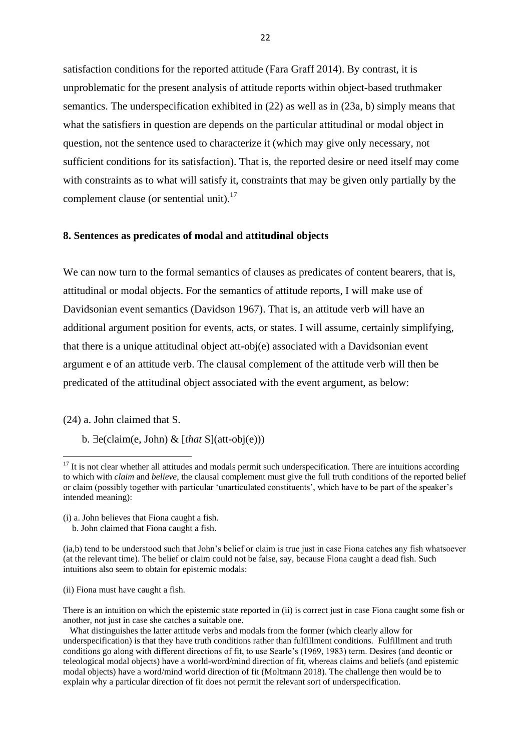satisfaction conditions for the reported attitude (Fara Graff 2014). By contrast, it is unproblematic for the present analysis of attitude reports within object-based truthmaker semantics. The underspecification exhibited in (22) as well as in (23a, b) simply means that what the satisfiers in question are depends on the particular attitudinal or modal object in question, not the sentence used to characterize it (which may give only necessary, not sufficient conditions for its satisfaction). That is, the reported desire or need itself may come with constraints as to what will satisfy it, constraints that may be given only partially by the complement clause (or sentential unit).<sup>17</sup>

#### **8. Sentences as predicates of modal and attitudinal objects**

We can now turn to the formal semantics of clauses as predicates of content bearers, that is, attitudinal or modal objects. For the semantics of attitude reports, I will make use of Davidsonian event semantics (Davidson 1967). That is, an attitude verb will have an additional argument position for events, acts, or states. I will assume, certainly simplifying, that there is a unique attitudinal object att-obj(e) associated with a Davidsonian event argument e of an attitude verb. The clausal complement of the attitude verb will then be predicated of the attitudinal object associated with the event argument, as below:

(24) a. John claimed that S.

**.** 

 $b. \exists e$ (claim(e, John) & [*that* S](att-obj(e)))

(ii) Fiona must have caught a fish.

There is an intuition on which the epistemic state reported in (ii) is correct just in case Fiona caught some fish or another, not just in case she catches a suitable one.

 $17$  It is not clear whether all attitudes and modals permit such underspecification. There are intuitions according to which with *claim* and *believe*, the clausal complement must give the full truth conditions of the reported belief or claim (possibly together with particular 'unarticulated constituents', which have to be part of the speaker's intended meaning):

<sup>(</sup>i) a. John believes that Fiona caught a fish.

b. John claimed that Fiona caught a fish.

<sup>(</sup>ia,b) tend to be understood such that John's belief or claim is true just in case Fiona catches any fish whatsoever (at the relevant time). The belief or claim could not be false, say, because Fiona caught a dead fish. Such intuitions also seem to obtain for epistemic modals:

What distinguishes the latter attitude verbs and modals from the former (which clearly allow for underspecification) is that they have truth conditions rather than fulfillment conditions. Fulfillment and truth conditions go along with different directions of fit, to use Searle's (1969, 1983) term. Desires (and deontic or teleological modal objects) have a world-word/mind direction of fit, whereas claims and beliefs (and epistemic modal objects) have a word/mind world direction of fit (Moltmann 2018). The challenge then would be to explain why a particular direction of fit does not permit the relevant sort of underspecification.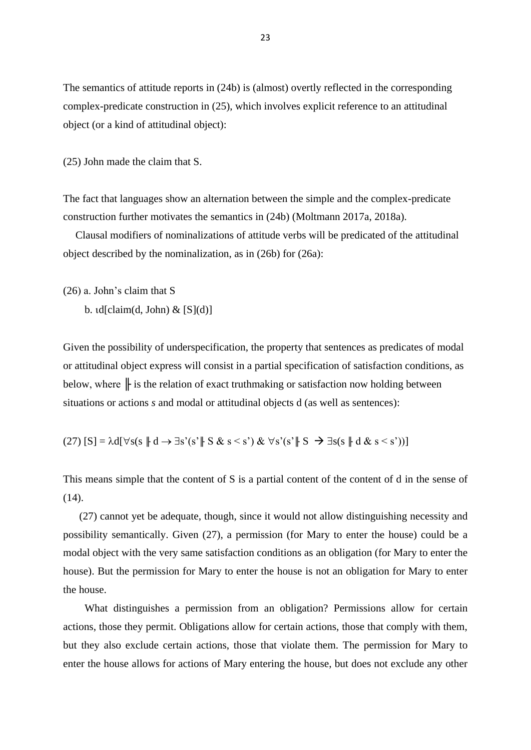The semantics of attitude reports in (24b) is (almost) overtly reflected in the corresponding complex-predicate construction in (25), which involves explicit reference to an attitudinal object (or a kind of attitudinal object):

(25) John made the claim that S.

The fact that languages show an alternation between the simple and the complex-predicate construction further motivates the semantics in (24b) (Moltmann 2017a, 2018a).

 Clausal modifiers of nominalizations of attitude verbs will be predicated of the attitudinal object described by the nominalization, as in (26b) for (26a):

(26) a. John's claim that S

b.  $td[claim(d, John) & [S](d)]$ 

Given the possibility of underspecification, the property that sentences as predicates of modal or attitudinal object express will consist in a partial specification of satisfaction conditions, as below, where  $\|$  is the relation of exact truthmaking or satisfaction now holding between situations or actions *s* and modal or attitudinal objects d (as well as sentences):

(27) 
$$
[S] = \lambda d[\forall s(s \parallel d \rightarrow \exists s'(s' \parallel S \& s < s') \& \forall s'(s' \parallel S \rightarrow \exists s(s \parallel d \& s < s'))]
$$

This means simple that the content of S is a partial content of the content of d in the sense of (14).

 (27) cannot yet be adequate, though, since it would not allow distinguishing necessity and possibility semantically. Given (27), a permission (for Mary to enter the house) could be a modal object with the very same satisfaction conditions as an obligation (for Mary to enter the house). But the permission for Mary to enter the house is not an obligation for Mary to enter the house.

 What distinguishes a permission from an obligation? Permissions allow for certain actions, those they permit. Obligations allow for certain actions, those that comply with them, but they also exclude certain actions, those that violate them. The permission for Mary to enter the house allows for actions of Mary entering the house, but does not exclude any other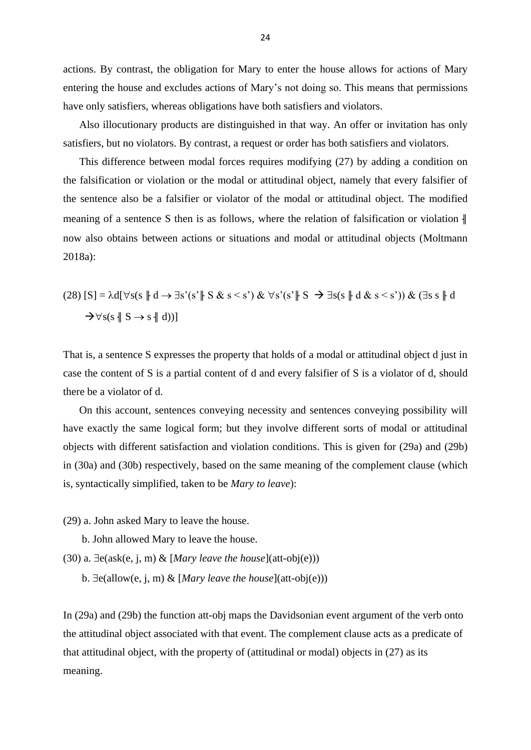actions. By contrast, the obligation for Mary to enter the house allows for actions of Mary entering the house and excludes actions of Mary's not doing so. This means that permissions have only satisfiers, whereas obligations have both satisfiers and violators.

 Also illocutionary products are distinguished in that way. An offer or invitation has only satisfiers, but no violators. By contrast, a request or order has both satisfiers and violators.

 This difference between modal forces requires modifying (27) by adding a condition on the falsification or violation or the modal or attitudinal object, namely that every falsifier of the sentence also be a falsifier or violator of the modal or attitudinal object. The modified meaning of a sentence S then is as follows, where the relation of falsification or violation  $\parallel$ now also obtains between actions or situations and modal or attitudinal objects (Moltmann 2018a):

$$
(28) [S] = \lambda d[\forall s(s \parallel d \rightarrow \exists s'(s' \parallel S \& s < s') \& \forall s'(s' \parallel S \rightarrow \exists s(s \parallel d \& s < s')) \& (\exists s s \parallel d \rightarrow \forall s(s \parallel S \rightarrow s \parallel d))]
$$

That is, a sentence S expresses the property that holds of a modal or attitudinal object d just in case the content of S is a partial content of d and every falsifier of S is a violator of d, should there be a violator of d.

 On this account, sentences conveying necessity and sentences conveying possibility will have exactly the same logical form; but they involve different sorts of modal or attitudinal objects with different satisfaction and violation conditions. This is given for (29a) and (29b) in (30a) and (30b) respectively, based on the same meaning of the complement clause (which is, syntactically simplified, taken to be *Mary to leave*):

- (29) a. John asked Mary to leave the house.
	- b. John allowed Mary to leave the house.
- (30) a.  $\exists$ e(ask(e, j, m) & [*Mary leave the house*](att-obj(e)))
	- b.  $\exists$ e(allow(e, j, m) & [*Mary leave the house*](att-obj(e)))

In (29a) and (29b) the function att-obj maps the Davidsonian event argument of the verb onto the attitudinal object associated with that event. The complement clause acts as a predicate of that attitudinal object, with the property of (attitudinal or modal) objects in (27) as its meaning.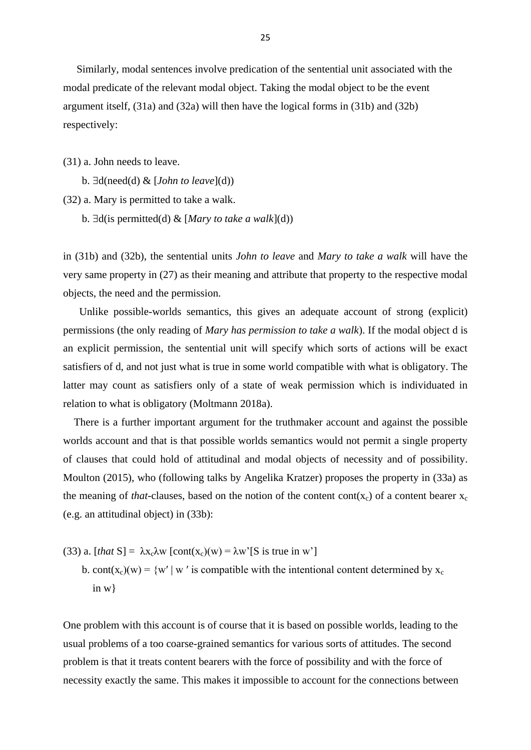Similarly, modal sentences involve predication of the sentential unit associated with the modal predicate of the relevant modal object. Taking the modal object to be the event argument itself, (31a) and (32a) will then have the logical forms in (31b) and (32b) respectively:

(31) a. John needs to leave.

b.  $\exists d(\text{need}(d) \& [John to leave](d))$ 

(32) a. Mary is permitted to take a walk.

b.  $\exists d$ (is permitted(d) & [*Mary to take a walk*](d))

in (31b) and (32b), the sentential units *John to leave* and *Mary to take a walk* will have the very same property in (27) as their meaning and attribute that property to the respective modal objects, the need and the permission.

 Unlike possible-worlds semantics, this gives an adequate account of strong (explicit) permissions (the only reading of *Mary has permission to take a walk*). If the modal object d is an explicit permission, the sentential unit will specify which sorts of actions will be exact satisfiers of d, and not just what is true in some world compatible with what is obligatory. The latter may count as satisfiers only of a state of weak permission which is individuated in relation to what is obligatory (Moltmann 2018a).

 There is a further important argument for the truthmaker account and against the possible worlds account and that is that possible worlds semantics would not permit a single property of clauses that could hold of attitudinal and modal objects of necessity and of possibility. Moulton (2015), who (following talks by Angelika Kratzer) proposes the property in (33a) as the meaning of *that*-clauses, based on the notion of the content cont( $x_c$ ) of a content bearer  $x_c$ (e.g. an attitudinal object) in (33b):

- (33) a. [*that*  $S = \lambda x_c \lambda w$  [cont( $x_c$ )(w) =  $\lambda w$ <sup>'</sup>[S is true in w']
	- b. cont(x<sub>c</sub>)(w) = {w' | w' is compatible with the intentional content determined by x<sub>c</sub> in w}

One problem with this account is of course that it is based on possible worlds, leading to the usual problems of a too coarse-grained semantics for various sorts of attitudes. The second problem is that it treats content bearers with the force of possibility and with the force of necessity exactly the same. This makes it impossible to account for the connections between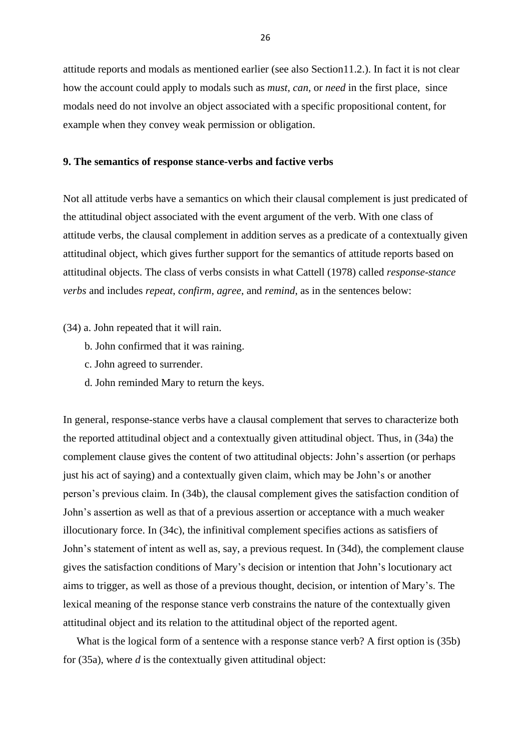attitude reports and modals as mentioned earlier (see also Section11.2.). In fact it is not clear how the account could apply to modals such as *must, can,* or *need* in the first place, since modals need do not involve an object associated with a specific propositional content, for example when they convey weak permission or obligation.

### **9. The semantics of response stance-verbs and factive verbs**

Not all attitude verbs have a semantics on which their clausal complement is just predicated of the attitudinal object associated with the event argument of the verb. With one class of attitude verbs, the clausal complement in addition serves as a predicate of a contextually given attitudinal object, which gives further support for the semantics of attitude reports based on attitudinal objects. The class of verbs consists in what Cattell (1978) called *response-stance verbs* and includes *repeat*, *confirm, agree*, and *remind*, as in the sentences below:

- (34) a. John repeated that it will rain.
	- b. John confirmed that it was raining.
	- c. John agreed to surrender.
	- d. John reminded Mary to return the keys.

In general, response-stance verbs have a clausal complement that serves to characterize both the reported attitudinal object and a contextually given attitudinal object. Thus, in (34a) the complement clause gives the content of two attitudinal objects: John's assertion (or perhaps just his act of saying) and a contextually given claim, which may be John's or another person's previous claim. In (34b), the clausal complement gives the satisfaction condition of John's assertion as well as that of a previous assertion or acceptance with a much weaker illocutionary force. In (34c), the infinitival complement specifies actions as satisfiers of John's statement of intent as well as, say, a previous request. In (34d), the complement clause gives the satisfaction conditions of Mary's decision or intention that John's locutionary act aims to trigger, as well as those of a previous thought, decision, or intention of Mary's. The lexical meaning of the response stance verb constrains the nature of the contextually given attitudinal object and its relation to the attitudinal object of the reported agent.

 What is the logical form of a sentence with a response stance verb? A first option is (35b) for (35a), where *d* is the contextually given attitudinal object: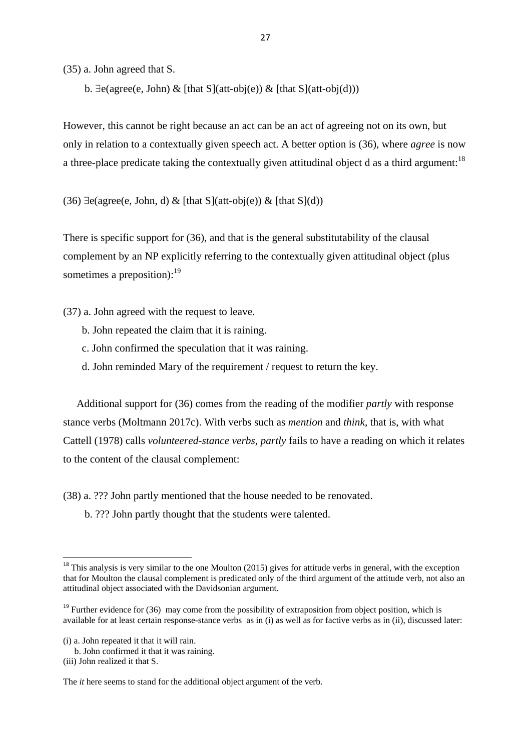(35) a. John agreed that S.

b.  $\exists$ e(agree(e, John) & [that S](att-obj(e)) & [that S](att-obj(d)))

However, this cannot be right because an act can be an act of agreeing not on its own, but only in relation to a contextually given speech act. A better option is (36), where *agree* is now a three-place predicate taking the contextually given attitudinal object d as a third argument:<sup>18</sup>

(36)  $\exists$ e(agree(e, John, d) & [that S](att-obj(e)) & [that S](d))

There is specific support for (36), and that is the general substitutability of the clausal complement by an NP explicitly referring to the contextually given attitudinal object (plus sometimes a preposition):<sup>19</sup>

(37) a. John agreed with the request to leave.

- b. John repeated the claim that it is raining.
- c. John confirmed the speculation that it was raining.
- d. John reminded Mary of the requirement / request to return the key.

 Additional support for (36) comes from the reading of the modifier *partly* with response stance verbs (Moltmann 2017c). With verbs such as *mention* and *think*, that is, with what Cattell (1978) calls *volunteered-stance verbs, partly* fails to have a reading on which it relates to the content of the clausal complement:

(38) a. ??? John partly mentioned that the house needed to be renovated.

b. ??? John partly thought that the students were talented.

**.** 

The *it* here seems to stand for the additional object argument of the verb.

<sup>&</sup>lt;sup>18</sup> This analysis is very similar to the one Moulton (2015) gives for attitude verbs in general, with the exception that for Moulton the clausal complement is predicated only of the third argument of the attitude verb, not also an attitudinal object associated with the Davidsonian argument.

<sup>&</sup>lt;sup>19</sup> Further evidence for (36) may come from the possibility of extraposition from object position, which is available for at least certain response-stance verbs as in (i) as well as for factive verbs as in (ii), discussed later:

<sup>(</sup>i) a. John repeated it that it will rain.

b. John confirmed it that it was raining.

<sup>(</sup>iii) John realized it that S.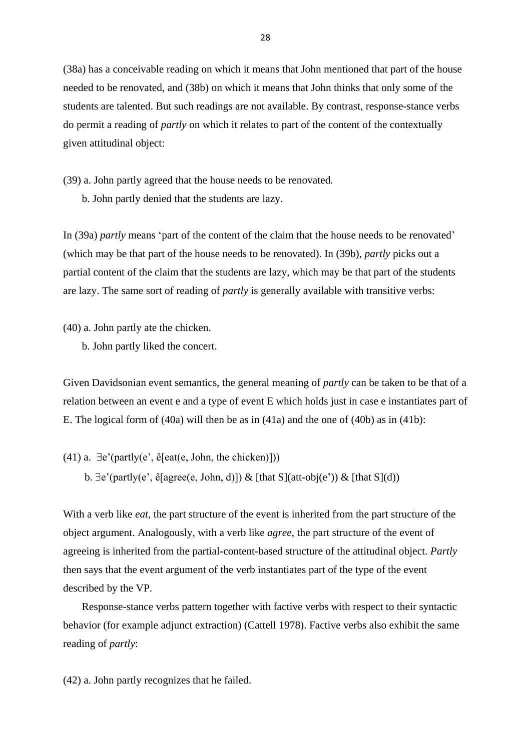(38a) has a conceivable reading on which it means that John mentioned that part of the house needed to be renovated, and (38b) on which it means that John thinks that only some of the students are talented. But such readings are not available. By contrast, response-stance verbs do permit a reading of *partly* on which it relates to part of the content of the contextually given attitudinal object:

(39) a. John partly agreed that the house needs to be renovated.

b. John partly denied that the students are lazy.

In (39a) *partly* means 'part of the content of the claim that the house needs to be renovated' (which may be that part of the house needs to be renovated). In (39b), *partly* picks out a partial content of the claim that the students are lazy, which may be that part of the students are lazy. The same sort of reading of *partly* is generally available with transitive verbs:

(40) a. John partly ate the chicken.

b. John partly liked the concert.

Given Davidsonian event semantics, the general meaning of *partly* can be taken to be that of a relation between an event e and a type of event E which holds just in case e instantiates part of E. The logical form of (40a) will then be as in (41a) and the one of (40b) as in (41b):

(41) a.  $\exists$ e'(partly(e', ê[eat(e, John, the chicken)]))

b.  $\exists$ e'(partly(e', ê[agree(e, John, d)]) & [that S](att-obj(e')) & [that S](d))

With a verb like *eat*, the part structure of the event is inherited from the part structure of the object argument. Analogously, with a verb like *agree*, the part structure of the event of agreeing is inherited from the partial-content-based structure of the attitudinal object. *Partly* then says that the event argument of the verb instantiates part of the type of the event described by the VP.

 Response-stance verbs pattern together with factive verbs with respect to their syntactic behavior (for example adjunct extraction) (Cattell 1978). Factive verbs also exhibit the same reading of *partly*:

(42) a. John partly recognizes that he failed.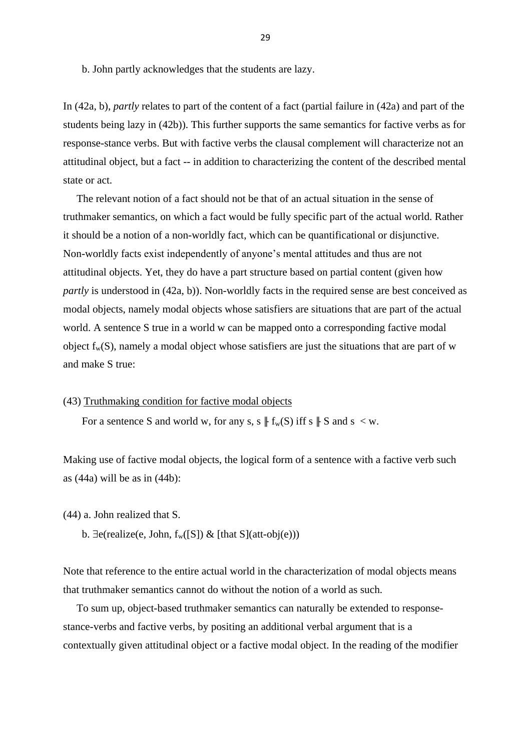b. John partly acknowledges that the students are lazy.

In (42a, b), *partly* relates to part of the content of a fact (partial failure in (42a) and part of the students being lazy in (42b)). This further supports the same semantics for factive verbs as for response-stance verbs. But with factive verbs the clausal complement will characterize not an attitudinal object, but a fact -- in addition to characterizing the content of the described mental state or act.

 The relevant notion of a fact should not be that of an actual situation in the sense of truthmaker semantics, on which a fact would be fully specific part of the actual world. Rather it should be a notion of a non-worldly fact, which can be quantificational or disjunctive. Non-worldly facts exist independently of anyone's mental attitudes and thus are not attitudinal objects. Yet, they do have a part structure based on partial content (given how *partly* is understood in (42a, b)). Non-worldly facts in the required sense are best conceived as modal objects, namely modal objects whose satisfiers are situations that are part of the actual world. A sentence S true in a world w can be mapped onto a corresponding factive modal object  $f_w(S)$ , namely a modal object whose satisfiers are just the situations that are part of w and make S true:

#### (43) Truthmaking condition for factive modal objects

For a sentence S and world w, for any s, s  $|| f_w(S)$  iff s  $|| S \text{ and } s < w$ .

Making use of factive modal objects, the logical form of a sentence with a factive verb such as  $(44a)$  will be as in  $(44b)$ :

(44) a. John realized that S.

b.  $\exists$ e(realize(e, John, f<sub>w</sub>([S]) & [that S](att-obj(e)))

Note that reference to the entire actual world in the characterization of modal objects means that truthmaker semantics cannot do without the notion of a world as such.

 To sum up, object-based truthmaker semantics can naturally be extended to responsestance-verbs and factive verbs, by positing an additional verbal argument that is a contextually given attitudinal object or a factive modal object. In the reading of the modifier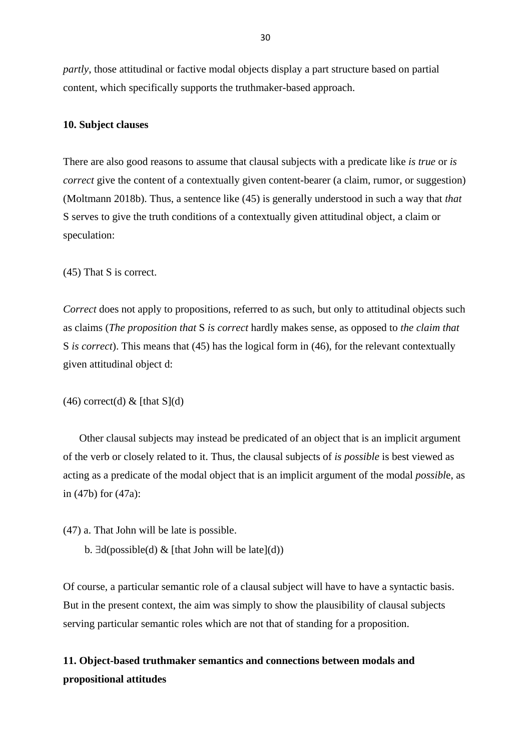*partly*, those attitudinal or factive modal objects display a part structure based on partial content, which specifically supports the truthmaker-based approach.

#### **10. Subject clauses**

There are also good reasons to assume that clausal subjects with a predicate like *is true* or *is correct* give the content of a contextually given content-bearer (a claim, rumor, or suggestion) (Moltmann 2018b). Thus, a sentence like (45) is generally understood in such a way that *that* S serves to give the truth conditions of a contextually given attitudinal object, a claim or speculation:

(45) That S is correct.

*Correct* does not apply to propositions, referred to as such, but only to attitudinal objects such as claims (*The proposition that* S *is correct* hardly makes sense, as opposed to *the claim that* S *is correct*). This means that (45) has the logical form in (46), for the relevant contextually given attitudinal object d:

#### $(46)$  correct(d) & [that S](d)

 Other clausal subjects may instead be predicated of an object that is an implicit argument of the verb or closely related to it. Thus, the clausal subjects of *is possible* is best viewed as acting as a predicate of the modal object that is an implicit argument of the modal *possibl*e, as in (47b) for (47a):

(47) a. That John will be late is possible.

b.  $\exists d(possible(d) \& \{\text{that John will be late}](d)\}\$ 

Of course, a particular semantic role of a clausal subject will have to have a syntactic basis. But in the present context, the aim was simply to show the plausibility of clausal subjects serving particular semantic roles which are not that of standing for a proposition.

# **11. Object-based truthmaker semantics and connections between modals and propositional attitudes**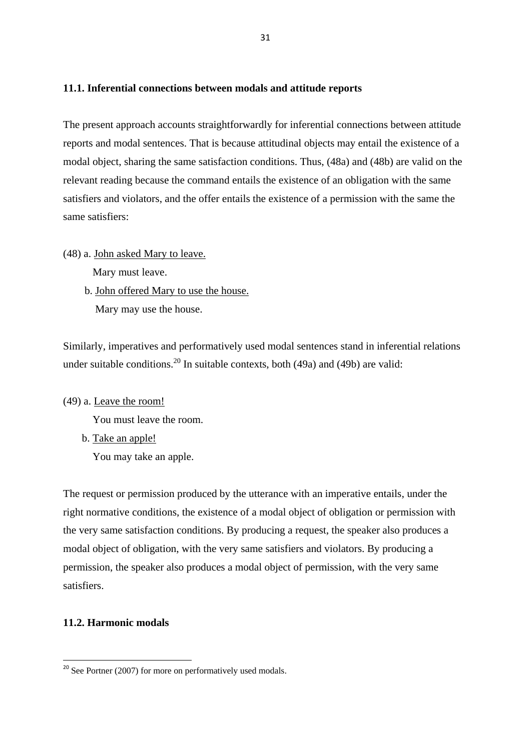### **11.1. Inferential connections between modals and attitude reports**

The present approach accounts straightforwardly for inferential connections between attitude reports and modal sentences. That is because attitudinal objects may entail the existence of a modal object, sharing the same satisfaction conditions. Thus, (48a) and (48b) are valid on the relevant reading because the command entails the existence of an obligation with the same satisfiers and violators, and the offer entails the existence of a permission with the same the same satisfiers:

(48) a. John asked Mary to leave.

Mary must leave.

 b. John offered Mary to use the house. Mary may use the house.

Similarly, imperatives and performatively used modal sentences stand in inferential relations under suitable conditions.<sup>20</sup> In suitable contexts, both  $(49a)$  and  $(49b)$  are valid:

(49) a. Leave the room!

You must leave the room.

b. Take an apple!

You may take an apple.

The request or permission produced by the utterance with an imperative entails, under the right normative conditions, the existence of a modal object of obligation or permission with the very same satisfaction conditions. By producing a request, the speaker also produces a modal object of obligation, with the very same satisfiers and violators. By producing a permission, the speaker also produces a modal object of permission, with the very same satisfiers.

## **11.2. Harmonic modals**

**.** 

 $20$  See Portner (2007) for more on performatively used modals.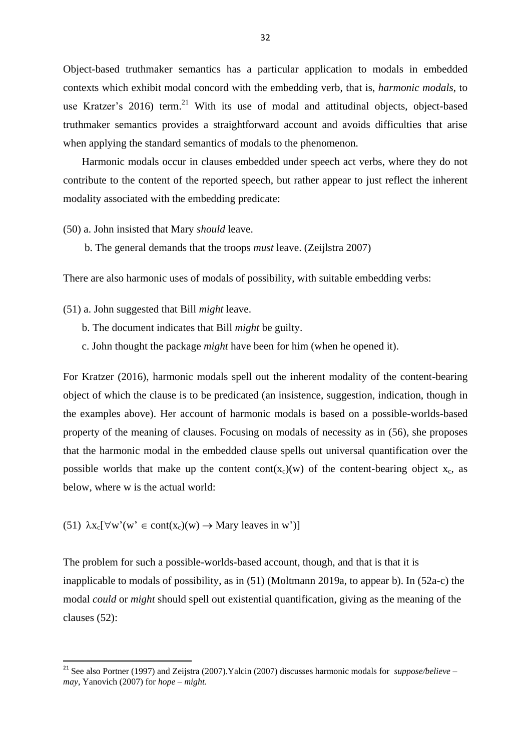Object-based truthmaker semantics has a particular application to modals in embedded contexts which exhibit modal concord with the embedding verb, that is, *harmonic modals*, to use Kratzer's 2016) term.<sup>21</sup> With its use of modal and attitudinal objects, object-based truthmaker semantics provides a straightforward account and avoids difficulties that arise when applying the standard semantics of modals to the phenomenon.

 Harmonic modals occur in clauses embedded under speech act verbs, where they do not contribute to the content of the reported speech, but rather appear to just reflect the inherent modality associated with the embedding predicate:

(50) a. John insisted that Mary *should* leave.

b. The general demands that the troops *must* leave. (Zeijlstra 2007)

There are also harmonic uses of modals of possibility, with suitable embedding verbs:

- (51) a. John suggested that Bill *might* leave.
	- b. The document indicates that Bill *might* be guilty.
	- c. John thought the package *might* have been for him (when he opened it).

For Kratzer (2016), harmonic modals spell out the inherent modality of the content-bearing object of which the clause is to be predicated (an insistence, suggestion, indication, though in the examples above). Her account of harmonic modals is based on a possible-worlds-based property of the meaning of clauses. Focusing on modals of necessity as in (56), she proposes that the harmonic modal in the embedded clause spells out universal quantification over the possible worlds that make up the content cont( $x_c$ )(w) of the content-bearing object  $x_c$ , as below, where w is the actual world:

(51)  $\lambda x_c[\forall w'(w' \in cont(x_c)(w) \rightarrow Mary$  leaves in w')

1

The problem for such a possible-worlds-based account, though, and that is that it is inapplicable to modals of possibility, as in (51) (Moltmann 2019a, to appear b). In (52a-c) the modal *could* or *might* should spell out existential quantification, giving as the meaning of the clauses (52):

<sup>21</sup> See also Portner (1997) and Zeijstra (2007).Yalcin (2007) discusses harmonic modals for *suppose/believe* – *may*, Yanovich (2007) for *hope* – *might*.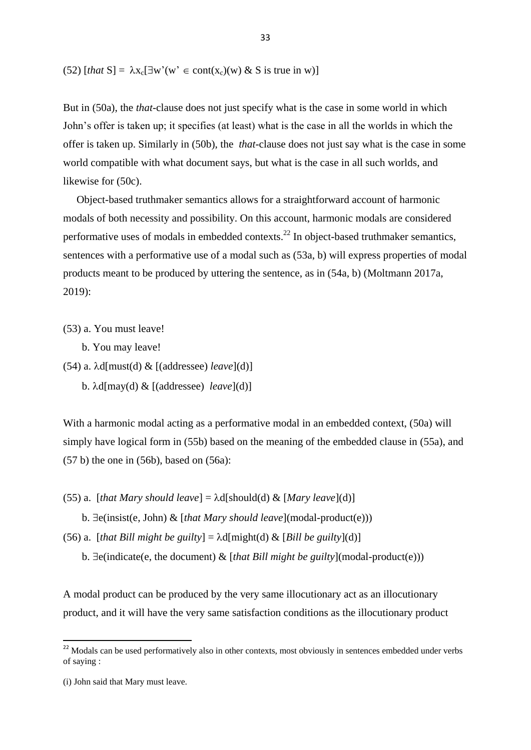(52)  $[that S] = \lambda x_c [\exists w'(w' \in cont(x_c)(w) \& S \text{ is true in } w)]$ 

But in (50a), the *that*-clause does not just specify what is the case in some world in which John's offer is taken up; it specifies (at least) what is the case in all the worlds in which the offer is taken up. Similarly in (50b), the *that-*clause does not just say what is the case in some world compatible with what document says, but what is the case in all such worlds, and likewise for (50c).

 Object-based truthmaker semantics allows for a straightforward account of harmonic modals of both necessity and possibility. On this account, harmonic modals are considered performative uses of modals in embedded contexts.<sup>22</sup> In object-based truthmaker semantics, sentences with a performative use of a modal such as (53a, b) will express properties of modal products meant to be produced by uttering the sentence, as in (54a, b) (Moltmann 2017a, 2019):

(53) a. You must leave!

b. You may leave!

(54) a.  $\lambda$ d[must(d) & [(addressee) *leave*](d)] b. d[may(d) & [(addressee) *leave*](d)]

With a harmonic modal acting as a performative modal in an embedded context, (50a) will simply have logical form in (55b) based on the meaning of the embedded clause in (55a), and (57 b) the one in (56b), based on (56a):

(55) a. [*that Mary should leave*] =  $\lambda$ d[should(d) & [*Mary leave*](d)]

b.  $\exists$ e(insist(e, John) & [*that Mary should leave*](modal-product(e)))

(56) a. [*that Bill might be guilty*] =  $\lambda d$ [might(d) & [*Bill be guilty*](d)]

b.  $\exists$ e(indicate(e, the document)  $\&$  [*that Bill might be guilty*](modal-product(e)))

A modal product can be produced by the very same illocutionary act as an illocutionary product, and it will have the very same satisfaction conditions as the illocutionary product

**.** 

 $22$  Modals can be used performatively also in other contexts, most obviously in sentences embedded under verbs of saying :

<sup>(</sup>i) John said that Mary must leave.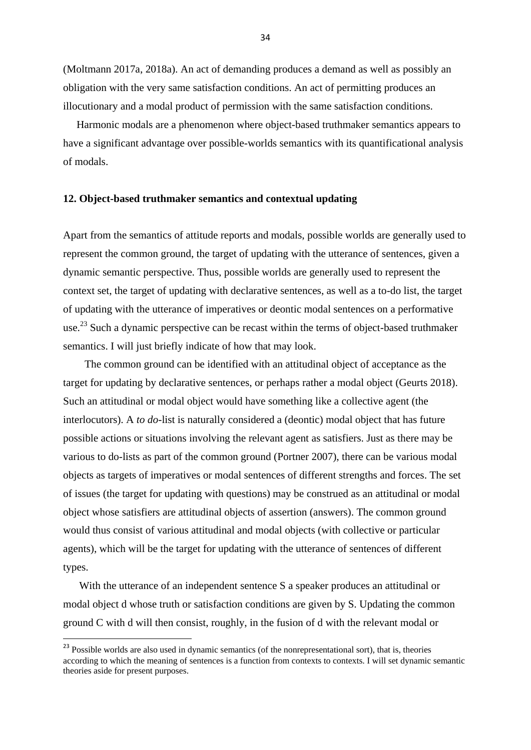(Moltmann 2017a, 2018a). An act of demanding produces a demand as well as possibly an obligation with the very same satisfaction conditions. An act of permitting produces an illocutionary and a modal product of permission with the same satisfaction conditions.

 Harmonic modals are a phenomenon where object-based truthmaker semantics appears to have a significant advantage over possible-worlds semantics with its quantificational analysis of modals.

#### **12. Object-based truthmaker semantics and contextual updating**

Apart from the semantics of attitude reports and modals, possible worlds are generally used to represent the common ground, the target of updating with the utterance of sentences, given a dynamic semantic perspective. Thus, possible worlds are generally used to represent the context set, the target of updating with declarative sentences, as well as a to-do list, the target of updating with the utterance of imperatives or deontic modal sentences on a performative use.<sup>23</sup> Such a dynamic perspective can be recast within the terms of object-based truthmaker semantics. I will just briefly indicate of how that may look.

 The common ground can be identified with an attitudinal object of acceptance as the target for updating by declarative sentences, or perhaps rather a modal object (Geurts 2018). Such an attitudinal or modal object would have something like a collective agent (the interlocutors). A *to do*-list is naturally considered a (deontic) modal object that has future possible actions or situations involving the relevant agent as satisfiers. Just as there may be various to do-lists as part of the common ground (Portner 2007), there can be various modal objects as targets of imperatives or modal sentences of different strengths and forces. The set of issues (the target for updating with questions) may be construed as an attitudinal or modal object whose satisfiers are attitudinal objects of assertion (answers). The common ground would thus consist of various attitudinal and modal objects (with collective or particular agents), which will be the target for updating with the utterance of sentences of different types.

 With the utterance of an independent sentence S a speaker produces an attitudinal or modal object d whose truth or satisfaction conditions are given by S. Updating the common ground C with d will then consist, roughly, in the fusion of d with the relevant modal or

**.** 

<sup>&</sup>lt;sup>23</sup> Possible worlds are also used in dynamic semantics (of the nonrepresentational sort), that is, theories according to which the meaning of sentences is a function from contexts to contexts. I will set dynamic semantic theories aside for present purposes.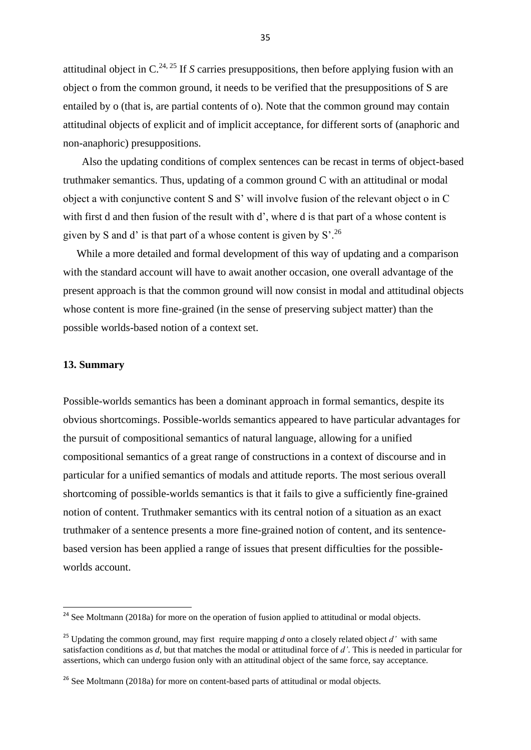attitudinal object in  $C^{24, 25}$  If *S* carries presuppositions, then before applying fusion with an object o from the common ground, it needs to be verified that the presuppositions of S are entailed by o (that is, are partial contents of o). Note that the common ground may contain attitudinal objects of explicit and of implicit acceptance, for different sorts of (anaphoric and non-anaphoric) presuppositions.

 Also the updating conditions of complex sentences can be recast in terms of object-based truthmaker semantics. Thus, updating of a common ground C with an attitudinal or modal object a with conjunctive content S and S' will involve fusion of the relevant object o in C with first d and then fusion of the result with d', where d is that part of a whose content is given by S and d' is that part of a whose content is given by  $S^2$ .<sup>26</sup>

 While a more detailed and formal development of this way of updating and a comparison with the standard account will have to await another occasion, one overall advantage of the present approach is that the common ground will now consist in modal and attitudinal objects whose content is more fine-grained (in the sense of preserving subject matter) than the possible worlds-based notion of a context set.

#### **13. Summary**

1

Possible-worlds semantics has been a dominant approach in formal semantics, despite its obvious shortcomings. Possible-worlds semantics appeared to have particular advantages for the pursuit of compositional semantics of natural language, allowing for a unified compositional semantics of a great range of constructions in a context of discourse and in particular for a unified semantics of modals and attitude reports. The most serious overall shortcoming of possible-worlds semantics is that it fails to give a sufficiently fine-grained notion of content. Truthmaker semantics with its central notion of a situation as an exact truthmaker of a sentence presents a more fine-grained notion of content, and its sentencebased version has been applied a range of issues that present difficulties for the possibleworlds account.

<sup>&</sup>lt;sup>24</sup> See Moltmann (2018a) for more on the operation of fusion applied to attitudinal or modal objects.

<sup>&</sup>lt;sup>25</sup> Updating the common ground, may first require mapping *d* onto a closely related object *d'* with same satisfaction conditions as *d*, but that matches the modal or attitudinal force of *d'*. This is needed in particular for assertions, which can undergo fusion only with an attitudinal object of the same force, say acceptance.

<sup>&</sup>lt;sup>26</sup> See Moltmann (2018a) for more on content-based parts of attitudinal or modal objects.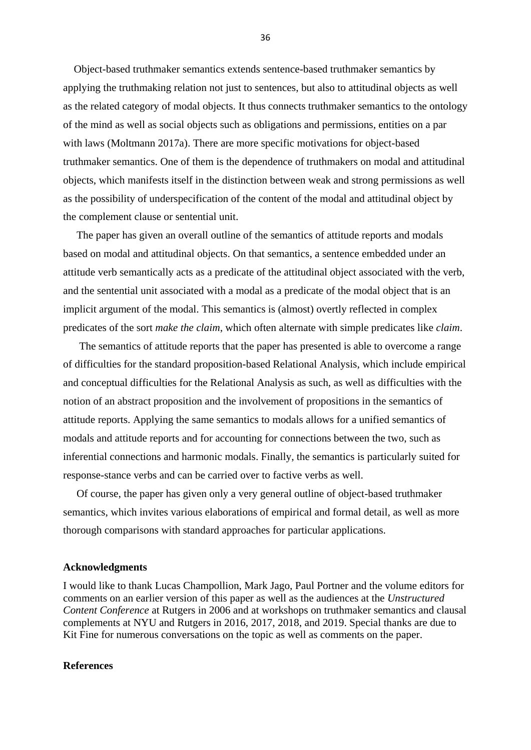Object-based truthmaker semantics extends sentence-based truthmaker semantics by applying the truthmaking relation not just to sentences, but also to attitudinal objects as well as the related category of modal objects. It thus connects truthmaker semantics to the ontology of the mind as well as social objects such as obligations and permissions, entities on a par with laws (Moltmann 2017a). There are more specific motivations for object-based truthmaker semantics. One of them is the dependence of truthmakers on modal and attitudinal objects, which manifests itself in the distinction between weak and strong permissions as well as the possibility of underspecification of the content of the modal and attitudinal object by the complement clause or sentential unit.

 The paper has given an overall outline of the semantics of attitude reports and modals based on modal and attitudinal objects. On that semantics, a sentence embedded under an attitude verb semantically acts as a predicate of the attitudinal object associated with the verb, and the sentential unit associated with a modal as a predicate of the modal object that is an implicit argument of the modal. This semantics is (almost) overtly reflected in complex predicates of the sort *make the claim*, which often alternate with simple predicates like *claim*.

 The semantics of attitude reports that the paper has presented is able to overcome a range of difficulties for the standard proposition-based Relational Analysis, which include empirical and conceptual difficulties for the Relational Analysis as such, as well as difficulties with the notion of an abstract proposition and the involvement of propositions in the semantics of attitude reports. Applying the same semantics to modals allows for a unified semantics of modals and attitude reports and for accounting for connections between the two, such as inferential connections and harmonic modals. Finally, the semantics is particularly suited for response-stance verbs and can be carried over to factive verbs as well.

 Of course, the paper has given only a very general outline of object-based truthmaker semantics, which invites various elaborations of empirical and formal detail, as well as more thorough comparisons with standard approaches for particular applications.

#### **Acknowledgments**

I would like to thank Lucas Champollion, Mark Jago, Paul Portner and the volume editors for comments on an earlier version of this paper as well as the audiences at the *Unstructured Content Conference* at Rutgers in 2006 and at workshops on truthmaker semantics and clausal complements at NYU and Rutgers in 2016, 2017, 2018, and 2019. Special thanks are due to Kit Fine for numerous conversations on the topic as well as comments on the paper.

#### **References**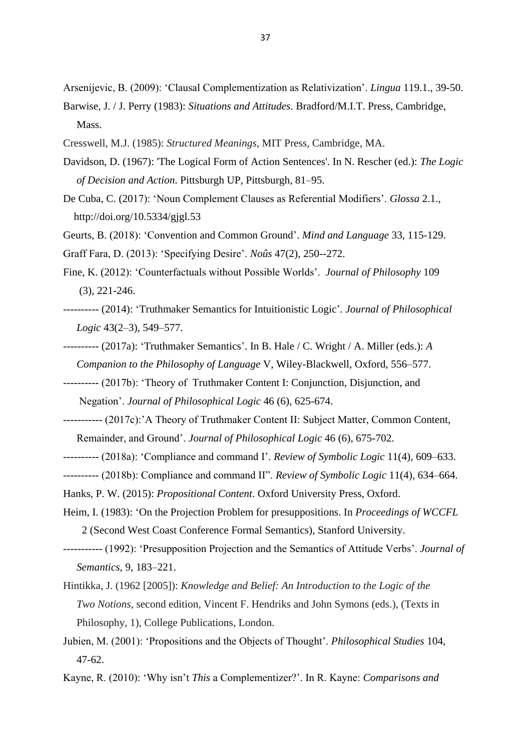Arsenijevic, B. (2009): 'Clausal Complementization as Relativization'. *Lingua* 119.1., 39-50.

Barwise, J. / J. Perry (1983): *Situations and Attitudes*. Bradford/M.I.T. Press, Cambridge, Mass.

- Cresswell, M.J. (1985): *Structured Meanings*, MIT Press, Cambridge, MA.
- Davidson, D. (1967): 'The Logical Form of Action Sentences'. In N. Rescher (ed.): *The Logic of Decision and Action*. Pittsburgh UP, Pittsburgh, 81–95.
- De Cuba, C. (2017): 'Noun Complement Clauses as Referential Modifiers'. *Glossa* 2.1., http://doi.org/10.5334/gjgl.53

Geurts, B. (2018): 'Convention and Common Ground'. *Mind and Language* 33, 115-129. Graff Fara, D. (2013): 'Specifying Desire'. *Noûs* 47(2), 250--272.

- Fine, K. (2012): 'Counterfactuals without Possible Worlds'[.](http://as.nyu.edu/docs/IO/1160/Counterfactuals-jp.pdf) *Journal of Philosophy* 109 (3), 221-246.
- ---------- (2014): 'Truthmaker Semantics for Intuitionistic Logic'*. Journal of Philosophical Logic* 43(2–3), 549–577.
- ---------- (2017a): 'Truthmaker Semantics'. In B. Hale / C. Wright / A. Miller (eds.): *A Companion to the Philosophy of Language* V, Wiley-Blackwell, Oxford, 556–577.
- ---------- (2017b): 'Theory of Truthmaker Content I: Conjunction, Disjunction, and Negation'. *Journal of Philosophical Logic* 46 (6), 625-674.
- ----------- (2017c):'A Theory of Truthmaker Content II: Subject Matter, Common Content, Remainder, and Ground'. *Journal of Philosophical Logic* 46 (6), 675-702.
- ---------- (2018a): 'Compliance and command I'. *Review of Symbolic Logic* 11(4), 609–633.
- ---------- (2018b): Compliance and command II". *Review of Symbolic Logic* 11(4), 634–664.
- Hanks, P. W. (2015): *Propositional Content*. Oxford University Press, Oxford.
- Heim, I. (1983): 'On the Projection Problem for presuppositions. In *Proceedings of WCCFL* 2 (Second West Coast Conference Formal Semantics), Stanford University.
- ----------- (1992): 'Presupposition Projection and the Semantics of Attitude Verbs'. *Journal of Semantics*, 9, 183–221.
- Hintikka, J. (1962 [2005]): *Knowledge and Belief: An Introduction to the Logic of the Two Notions*, second edition, Vincent F. Hendriks and John Symons (eds.), (Texts in Philosophy, 1), College Publications, London.
- Jubien, M. (2001): 'Propositions and the Objects of Thought'. *Philosophical Studies* 104, 47-62.

Kayne, R. (2010): 'Why isn't *This* a Complementizer?'. In R. Kayne: *Comparisons and*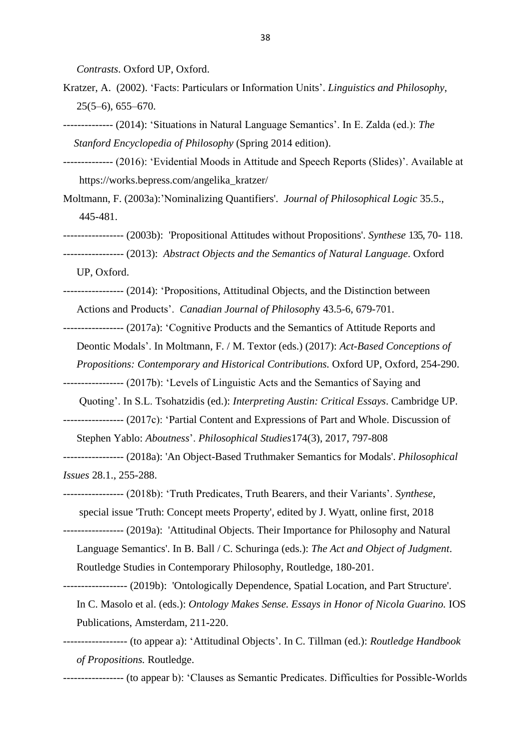*Contrasts*. Oxford UP, Oxford.

- Kratzer, A. (2002). 'Facts: Particulars or Information Units'. *Linguistics and Philosophy*, 25(5–6), 655–670.
- -------------- (2014): 'Situations in Natural Language Semantics'. In E. Zalda (ed.): *The Stanford Encyclopedia of Philosophy* (Spring 2014 edition).
- -------------- (2016): 'Evidential Moods in Attitude and Speech Reports (Slides)'. Available at https://works.bepress.com/angelika\_kratzer/
- Moltmann, F. (2003a):'Nominalizing Quantifiers'. *Journal of Philosophical Logic* 35.5., 445-481.
- ----------------- (2003b): 'Propositional Attitudes without Propositions'. *Synthese* 135, 70- 118.
- ----------------- (2013): *Abstract Objects and the Semantics of Natural Language*. Oxford

UP, Oxford.

- ----------------- (2014): 'Propositions, Attitudinal Objects, and the Distinction between Actions and Products'. *Canadian Journal of Philosoph*y 43.5-6, 679-701.
- ----------------- (2017a): 'Cognitive Products and the Semantics of Attitude Reports and
	- Deontic Modals'. In Moltmann, F. / M. Textor (eds.) (2017): *Act-Based Conceptions of*
	- *Propositions: Contemporary and Historical Contributions.* Oxford UP, Oxford, 254-290.
- ----------------- (2017b): 'Levels of Linguistic Acts and the Semantics of Saying and
	- Quoting'. In S.L. Tsohatzidis (ed.): *Interpreting Austin: Critical Essays*. Cambridge UP.
- ----------------- (2017c): 'Partial Content and Expressions of Part and Whole. Discussion of Stephen Yablo: *Aboutness*'. *Philosophical Studies*174(3), 2017, 797-808
- ----------------- (2018a): ['An Object-Based Truthmaker Semantics](http://friederike-moltmann.com/uploads/phis_12124_Rev3_EV(1).pdf) for Modals'. *Philosophical Issues* 28.1., 255-288.
- ----------------- (2018b): 'Truth Predicates, Truth Bearers, and their Variants'. *Synthese*, special issue 'Truth: Concept meets Property', edited by J. Wyatt, online first, 2018
- ----------------- (2019a): 'Attitudinal Objects. Their Importance for Philosophy and Natural
	- Language Semantics'. In B. Ball / C. Schuringa (eds.): *The Act and Object of Judgment*. Routledge Studies in Contemporary Philosophy, Routledge, 180-201.
- ------------------ (2019b): 'Ontologically Dependence, Spatial Location, and Part Structure'.
	- In C. Masolo et al. (eds.): *Ontology Makes Sense. Essays in Honor of Nicola Guarino.* IOS Publications, Amsterdam*,* 211-220.
- ------------------ (to appear a): 'Attitudinal Objects'. In C. Tillman (ed.): *Routledge Handbook of Propositions.* Routledge.
- ----------------- (to appear b): 'Clauses as Semantic Predicates. Difficulties for Possible-Worlds